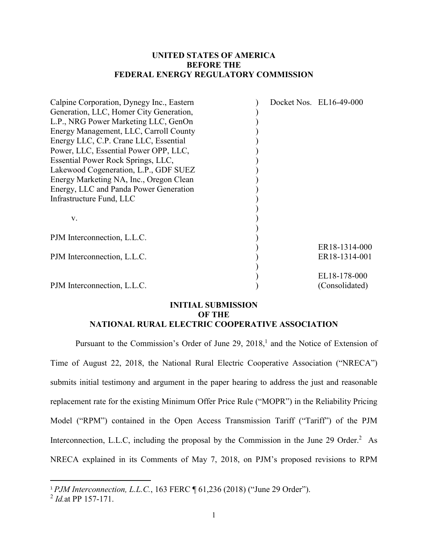#### **UNITED STATES OF AMERICA BEFORE THE FEDERAL ENERGY REGULATORY COMMISSION**

| Calpine Corporation, Dynegy Inc., Eastern | Docket Nos. EL16-49-000 |
|-------------------------------------------|-------------------------|
| Generation, LLC, Homer City Generation,   |                         |
| L.P., NRG Power Marketing LLC, GenOn      |                         |
| Energy Management, LLC, Carroll County    |                         |
| Energy LLC, C.P. Crane LLC, Essential     |                         |
| Power, LLC, Essential Power OPP, LLC,     |                         |
| Essential Power Rock Springs, LLC,        |                         |
| Lakewood Cogeneration, L.P., GDF SUEZ     |                         |
| Energy Marketing NA, Inc., Oregon Clean   |                         |
| Energy, LLC and Panda Power Generation    |                         |
| Infrastructure Fund, LLC                  |                         |
|                                           |                         |
| V.                                        |                         |
|                                           |                         |
| PJM Interconnection, L.L.C.               |                         |
|                                           | ER18-1314-000           |
| PJM Interconnection, L.L.C.               | ER18-1314-001           |
|                                           |                         |
|                                           | EL18-178-000            |
| PJM Interconnection, L.L.C.               | (Consolidated)          |

#### **INITIAL SUBMISSION OF THE NATIONAL RURAL ELECTRIC COOPERATIVE ASSOCIATION**

Pursuant to the Commission's Order of June 29, 2018,<sup>1</sup> and the Notice of Extension of Time of August 22, 2018, the National Rural Electric Cooperative Association ("NRECA") submits initial testimony and argument in the paper hearing to address the just and reasonable replacement rate for the existing Minimum Offer Price Rule ("MOPR") in the Reliability Pricing Model ("RPM") contained in the Open Access Transmission Tariff ("Tariff") of the PJM Interconnection, L.L.C, including the proposal by the Commission in the June 29 Order.<sup>2</sup> As NRECA explained in its Comments of May 7, 2018, on PJM's proposed revisions to RPM

<sup>1</sup> *PJM Interconnection, L.L.C.*, 163 FERC ¶ 61,236 (2018) ("June 29 Order").

<sup>2</sup> *Id.*at PP 157-171.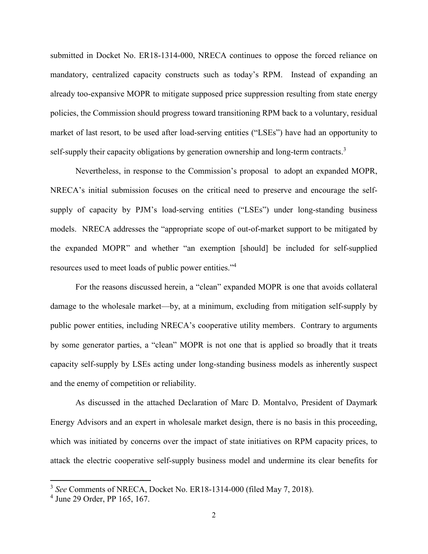submitted in Docket No. ER18-1314-000, NRECA continues to oppose the forced reliance on mandatory, centralized capacity constructs such as today's RPM. Instead of expanding an already too-expansive MOPR to mitigate supposed price suppression resulting from state energy policies, the Commission should progress toward transitioning RPM back to a voluntary, residual market of last resort, to be used after load-serving entities ("LSEs") have had an opportunity to self-supply their capacity obligations by generation ownership and long-term contracts.<sup>3</sup>

Nevertheless, in response to the Commission's proposal to adopt an expanded MOPR, NRECA's initial submission focuses on the critical need to preserve and encourage the selfsupply of capacity by PJM's load-serving entities ("LSEs") under long-standing business models. NRECA addresses the "appropriate scope of out-of-market support to be mitigated by the expanded MOPR" and whether "an exemption [should] be included for self-supplied resources used to meet loads of public power entities."<sup>4</sup>

For the reasons discussed herein, a "clean" expanded MOPR is one that avoids collateral damage to the wholesale market—by, at a minimum, excluding from mitigation self-supply by public power entities, including NRECA's cooperative utility members. Contrary to arguments by some generator parties, a "clean" MOPR is not one that is applied so broadly that it treats capacity self-supply by LSEs acting under long-standing business models as inherently suspect and the enemy of competition or reliability.

As discussed in the attached Declaration of Marc D. Montalvo, President of Daymark Energy Advisors and an expert in wholesale market design, there is no basis in this proceeding, which was initiated by concerns over the impact of state initiatives on RPM capacity prices, to attack the electric cooperative self-supply business model and undermine its clear benefits for

<sup>&</sup>lt;sup>3</sup> See Comments of NRECA, Docket No. ER18-1314-000 (filed May 7, 2018).

<sup>4</sup> June 29 Order, PP 165, 167.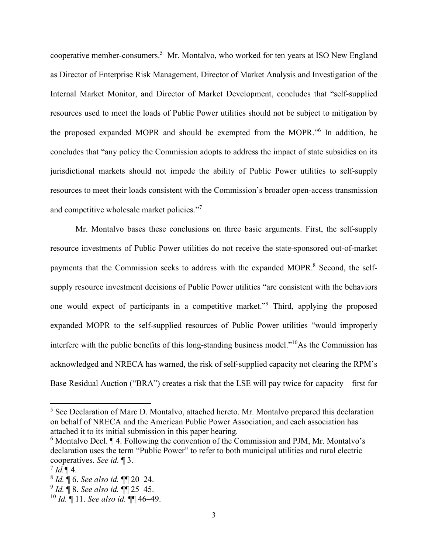cooperative member-consumers.<sup>5</sup> Mr. Montalvo, who worked for ten years at ISO New England as Director of Enterprise Risk Management, Director of Market Analysis and Investigation of the Internal Market Monitor, and Director of Market Development, concludes that "self-supplied resources used to meet the loads of Public Power utilities should not be subject to mitigation by the proposed expanded MOPR and should be exempted from the MOPR."<sup>6</sup> In addition, he concludes that "any policy the Commission adopts to address the impact of state subsidies on its jurisdictional markets should not impede the ability of Public Power utilities to self-supply resources to meet their loads consistent with the Commission's broader open-access transmission and competitive wholesale market policies."<sup>7</sup>

Mr. Montalvo bases these conclusions on three basic arguments. First, the self-supply resource investments of Public Power utilities do not receive the state-sponsored out-of-market payments that the Commission seeks to address with the expanded MOPR.<sup>8</sup> Second, the selfsupply resource investment decisions of Public Power utilities "are consistent with the behaviors one would expect of participants in a competitive market."<sup>9</sup> Third, applying the proposed expanded MOPR to the self-supplied resources of Public Power utilities "would improperly interfere with the public benefits of this long-standing business model."<sup>10</sup>As the Commission has acknowledged and NRECA has warned, the risk of self-supplied capacity not clearing the RPM's Base Residual Auction ("BRA") creates a risk that the LSE will pay twice for capacity—first for

9 *Id.* ¶ 8. *See also id.* ¶¶ 25–45.

<sup>&</sup>lt;sup>5</sup> See Declaration of Marc D. Montalvo, attached hereto. Mr. Montalvo prepared this declaration on behalf of NRECA and the American Public Power Association, and each association has attached it to its initial submission in this paper hearing.

 $6$  Montalvo Decl.  $\P$  4. Following the convention of the Commission and PJM, Mr. Montalvo's declaration uses the term "Public Power" to refer to both municipal utilities and rural electric cooperatives. *See id.* ¶ 3.

 $^{7}$  *Id.* ¶ 4.

<sup>8</sup> *Id.* ¶ 6. *See also id.* ¶¶ 20–24.

<sup>10</sup> *Id.* ¶ 11. *See also id.* ¶¶ 46–49.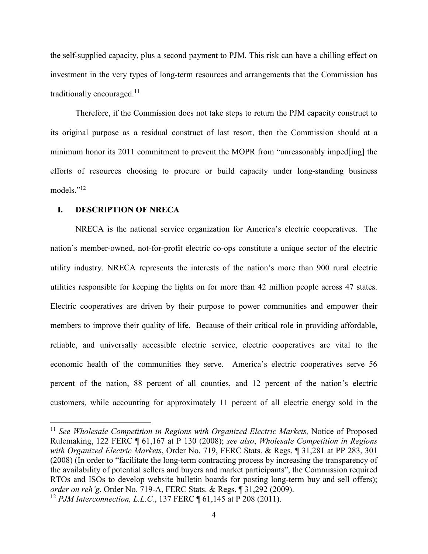the self-supplied capacity, plus a second payment to PJM. This risk can have a chilling effect on investment in the very types of long-term resources and arrangements that the Commission has traditionally encouraged. $11$ 

Therefore, if the Commission does not take steps to return the PJM capacity construct to its original purpose as a residual construct of last resort, then the Commission should at a minimum honor its 2011 commitment to prevent the MOPR from "unreasonably imped[ing] the efforts of resources choosing to procure or build capacity under long-standing business models."<sup>12</sup>

#### **I. DESCRIPTION OF NRECA**

NRECA is the national service organization for America's electric cooperatives. The nation's member-owned, not-for-profit electric co-ops constitute a unique sector of the electric utility industry. NRECA represents the interests of the nation's more than 900 rural electric utilities responsible for keeping the lights on for more than 42 million people across 47 states. Electric cooperatives are driven by their purpose to power communities and empower their members to improve their quality of life. Because of their critical role in providing affordable, reliable, and universally accessible electric service, electric cooperatives are vital to the economic health of the communities they serve. America's electric cooperatives serve 56 percent of the nation, 88 percent of all counties, and 12 percent of the nation's electric customers, while accounting for approximately 11 percent of all electric energy sold in the

<sup>&</sup>lt;sup>11</sup> See Wholesale Competition in Regions with Organized Electric Markets, Notice of Proposed Rulemaking, 122 FERC ¶ 61,167 at P 130 (2008); *see also*, *Wholesale Competition in Regions with Organized Electric Markets*, Order No. 719, FERC Stats. & Regs. ¶ 31,281 at PP 283, 301 (2008) (In order to "facilitate the long-term contracting process by increasing the transparency of the availability of potential sellers and buyers and market participants", the Commission required RTOs and ISOs to develop website bulletin boards for posting long-term buy and sell offers); *order on reh'g*, Order No. 719-A, FERC Stats. & Regs. ¶ 31,292 (2009).

<sup>&</sup>lt;sup>12</sup> *PJM Interconnection, L.L.C.*, 137 FERC ¶ 61,145 at P 208 (2011).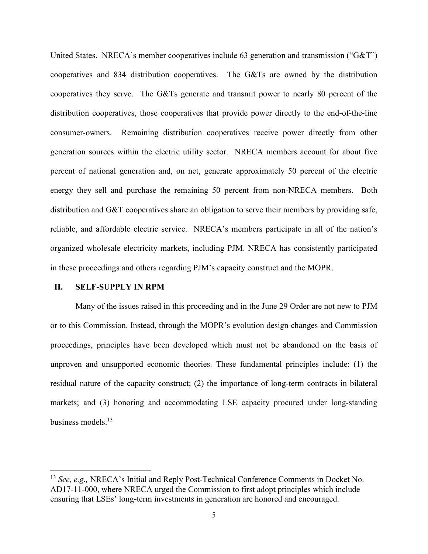United States. NRECA's member cooperatives include 63 generation and transmission ("G&T") cooperatives and 834 distribution cooperatives. The G&Ts are owned by the distribution cooperatives they serve. The G&Ts generate and transmit power to nearly 80 percent of the distribution cooperatives, those cooperatives that provide power directly to the end-of-the-line consumer-owners. Remaining distribution cooperatives receive power directly from other generation sources within the electric utility sector. NRECA members account for about five percent of national generation and, on net, generate approximately 50 percent of the electric energy they sell and purchase the remaining 50 percent from non-NRECA members. Both distribution and G&T cooperatives share an obligation to serve their members by providing safe, reliable, and affordable electric service. NRECA's members participate in all of the nation's organized wholesale electricity markets, including PJM. NRECA has consistently participated in these proceedings and others regarding PJM's capacity construct and the MOPR.

#### **II. SELF-SUPPLY IN RPM**

Many of the issues raised in this proceeding and in the June 29 Order are not new to PJM or to this Commission. Instead, through the MOPR's evolution design changes and Commission proceedings, principles have been developed which must not be abandoned on the basis of unproven and unsupported economic theories. These fundamental principles include: (1) the residual nature of the capacity construct; (2) the importance of long-term contracts in bilateral markets; and (3) honoring and accommodating LSE capacity procured under long-standing business models.<sup>13</sup>

<sup>13</sup> *See, e.g.,* NRECA's Initial and Reply Post-Technical Conference Comments in Docket No. AD17-11-000, where NRECA urged the Commission to first adopt principles which include ensuring that LSEs' long-term investments in generation are honored and encouraged.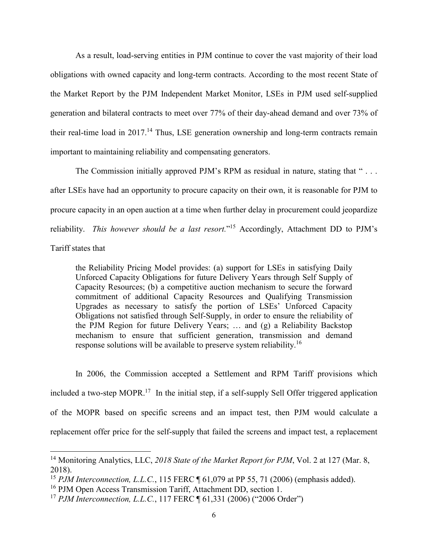As a result, load-serving entities in PJM continue to cover the vast majority of their load obligations with owned capacity and long-term contracts. According to the most recent State of the Market Report by the PJM Independent Market Monitor, LSEs in PJM used self-supplied generation and bilateral contracts to meet over 77% of their day-ahead demand and over 73% of their real-time load in  $2017<sup>14</sup>$  Thus, LSE generation ownership and long-term contracts remain important to maintaining reliability and compensating generators.

The Commission initially approved PJM's RPM as residual in nature, stating that "... after LSEs have had an opportunity to procure capacity on their own, it is reasonable for PJM to procure capacity in an open auction at a time when further delay in procurement could jeopardize reliability. *This however should be a last resort.*" <sup>15</sup> Accordingly, Attachment DD to PJM's Tariff states that

the Reliability Pricing Model provides: (a) support for LSEs in satisfying Daily Unforced Capacity Obligations for future Delivery Years through Self Supply of Capacity Resources; (b) a competitive auction mechanism to secure the forward commitment of additional Capacity Resources and Qualifying Transmission Upgrades as necessary to satisfy the portion of LSEs' Unforced Capacity Obligations not satisfied through Self-Supply, in order to ensure the reliability of the PJM Region for future Delivery Years; … and (g) a Reliability Backstop mechanism to ensure that sufficient generation, transmission and demand response solutions will be available to preserve system reliability.<sup>16</sup>

In 2006, the Commission accepted a Settlement and RPM Tariff provisions which included a two-step MOPR.<sup>17</sup> In the initial step, if a self-supply Sell Offer triggered application of the MOPR based on specific screens and an impact test, then PJM would calculate a replacement offer price for the self-supply that failed the screens and impact test, a replacement

<sup>&</sup>lt;sup>14</sup> Monitoring Analytics, LLC, 2018 State of the Market Report for PJM, Vol. 2 at 127 (Mar. 8, 2018).

<sup>&</sup>lt;sup>15</sup> *PJM Interconnection, L.L.C.*, 115 FERC ¶ 61,079 at PP 55, 71 (2006) (emphasis added).

<sup>&</sup>lt;sup>16</sup> PJM Open Access Transmission Tariff, Attachment DD, section 1.

<sup>&</sup>lt;sup>17</sup> *PJM Interconnection, L.L.C.*, 117 FERC ¶ 61,331 (2006) ("2006 Order")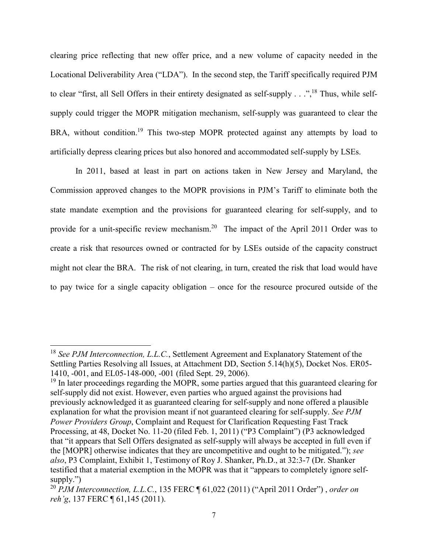clearing price reflecting that new offer price, and a new volume of capacity needed in the Locational Deliverability Area ("LDA"). In the second step, the Tariff specifically required PJM to clear "first, all Sell Offers in their entirety designated as self-supply . . .",<sup>18</sup> Thus, while selfsupply could trigger the MOPR mitigation mechanism, self-supply was guaranteed to clear the BRA, without condition.<sup>19</sup> This two-step MOPR protected against any attempts by load to artificially depress clearing prices but also honored and accommodated self-supply by LSEs.

In 2011, based at least in part on actions taken in New Jersey and Maryland, the Commission approved changes to the MOPR provisions in PJM's Tariff to eliminate both the state mandate exemption and the provisions for guaranteed clearing for self-supply, and to provide for a unit-specific review mechanism.<sup>20</sup> The impact of the April 2011 Order was to create a risk that resources owned or contracted for by LSEs outside of the capacity construct might not clear the BRA. The risk of not clearing, in turn, created the risk that load would have to pay twice for a single capacity obligation – once for the resource procured outside of the

<sup>18</sup> *See PJM Interconnection, L.L.C.*, Settlement Agreement and Explanatory Statement of the Settling Parties Resolving all Issues, at Attachment DD, Section 5.14(h)(5), Docket Nos. ER05- 1410, -001, and EL05-148-000, -001 (filed Sept. 29, 2006).

 $19$  In later proceedings regarding the MOPR, some parties argued that this guaranteed clearing for self-supply did not exist. However, even parties who argued against the provisions had previously acknowledged it as guaranteed clearing for self-supply and none offered a plausible explanation for what the provision meant if not guaranteed clearing for self-supply. *See PJM Power Providers Group*, Complaint and Request for Clarification Requesting Fast Track Processing, at 48, Docket No. 11-20 (filed Feb. 1, 2011) ("P3 Complaint") (P3 acknowledged that "it appears that Sell Offers designated as self-supply will always be accepted in full even if the [MOPR] otherwise indicates that they are uncompetitive and ought to be mitigated."); *see also*, P3 Complaint, Exhibit 1, Testimony of Roy J. Shanker, Ph.D., at 32:3-7 (Dr. Shanker testified that a material exemption in the MOPR was that it "appears to completely ignore selfsupply.")

<sup>20</sup> *PJM Interconnection, L.L.C.*, 135 FERC ¶ 61,022 (2011) ("April 2011 Order") , *order on reh'g*, 137 FERC ¶ 61,145 (2011).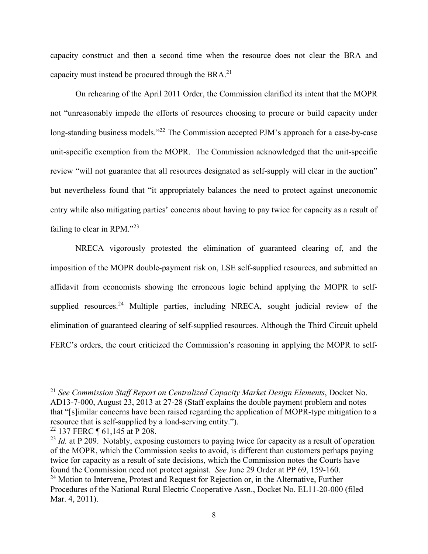capacity construct and then a second time when the resource does not clear the BRA and capacity must instead be procured through the BRA.<sup>21</sup>

On rehearing of the April 2011 Order, the Commission clarified its intent that the MOPR not "unreasonably impede the efforts of resources choosing to procure or build capacity under long-standing business models."<sup>22</sup> The Commission accepted PJM's approach for a case-by-case unit-specific exemption from the MOPR. The Commission acknowledged that the unit-specific review "will not guarantee that all resources designated as self-supply will clear in the auction" but nevertheless found that "it appropriately balances the need to protect against uneconomic entry while also mitigating parties' concerns about having to pay twice for capacity as a result of failing to clear in RPM."<sup>23</sup>

NRECA vigorously protested the elimination of guaranteed clearing of, and the imposition of the MOPR double-payment risk on, LSE self-supplied resources, and submitted an affidavit from economists showing the erroneous logic behind applying the MOPR to selfsupplied resources.<sup>24</sup> Multiple parties, including NRECA, sought judicial review of the elimination of guaranteed clearing of self-supplied resources. Although the Third Circuit upheld FERC's orders, the court criticized the Commission's reasoning in applying the MOPR to self-

<sup>21</sup> *See Commission Staff Report on Centralized Capacity Market Design Elements*, Docket No. AD13-7-000, August 23, 2013 at 27-28 (Staff explains the double payment problem and notes that "[s]imilar concerns have been raised regarding the application of MOPR-type mitigation to a resource that is self-supplied by a load-serving entity.").

<sup>22</sup> 137 FERC ¶ 61,145 at P 208.

<sup>&</sup>lt;sup>23</sup> *Id.* at P 209. Notably, exposing customers to paying twice for capacity as a result of operation of the MOPR, which the Commission seeks to avoid, is different than customers perhaps paying twice for capacity as a result of sate decisions, which the Commission notes the Courts have found the Commission need not protect against. *See* June 29 Order at PP 69, 159-160.  $24$  Motion to Intervene, Protest and Request for Rejection or, in the Alternative, Further

Procedures of the National Rural Electric Cooperative Assn., Docket No. EL11-20-000 (filed Mar. 4, 2011).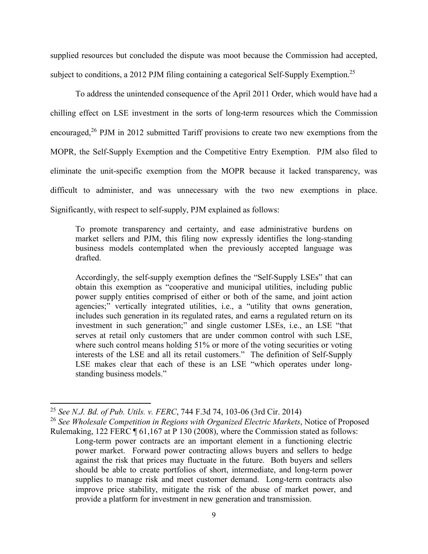supplied resources but concluded the dispute was moot because the Commission had accepted, subject to conditions, a 2012 PJM filing containing a categorical Self-Supply Exemption.<sup>25</sup>

To address the unintended consequence of the April 2011 Order, which would have had a chilling effect on LSE investment in the sorts of long-term resources which the Commission encouraged,<sup>26</sup> PJM in 2012 submitted Tariff provisions to create two new exemptions from the MOPR, the Self-Supply Exemption and the Competitive Entry Exemption. PJM also filed to eliminate the unit-specific exemption from the MOPR because it lacked transparency, was difficult to administer, and was unnecessary with the two new exemptions in place. Significantly, with respect to self-supply, PJM explained as follows:

To promote transparency and certainty, and ease administrative burdens on market sellers and PJM, this filing now expressly identifies the long-standing business models contemplated when the previously accepted language was drafted.

Accordingly, the self-supply exemption defines the "Self-Supply LSEs" that can obtain this exemption as "cooperative and municipal utilities, including public power supply entities comprised of either or both of the same, and joint action agencies;" vertically integrated utilities, i.e., a "utility that owns generation, includes such generation in its regulated rates, and earns a regulated return on its investment in such generation;" and single customer LSEs, i.e., an LSE "that serves at retail only customers that are under common control with such LSE, where such control means holding 51% or more of the voting securities or voting interests of the LSE and all its retail customers." The definition of Self-Supply LSE makes clear that each of these is an LSE "which operates under longstanding business models."

<sup>25</sup> *See N.J. Bd. of Pub. Utils. v. FERC*, 744 F.3d 74, 103-06 (3rd Cir. 2014)

<sup>26</sup> *See Wholesale Competition in Regions with Organized Electric Markets*, Notice of Proposed Rulemaking, 122 FERC ¶ 61,167 at P 130 (2008), where the Commission stated as follows: Long-term power contracts are an important element in a functioning electric power market. Forward power contracting allows buyers and sellers to hedge against the risk that prices may fluctuate in the future. Both buyers and sellers should be able to create portfolios of short, intermediate, and long-term power supplies to manage risk and meet customer demand. Long-term contracts also improve price stability, mitigate the risk of the abuse of market power, and provide a platform for investment in new generation and transmission.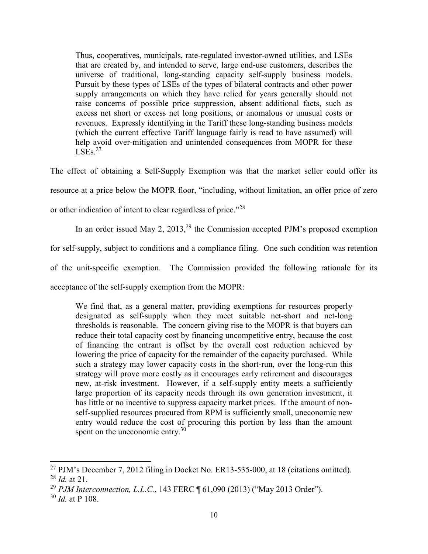Thus, cooperatives, municipals, rate-regulated investor-owned utilities, and LSEs that are created by, and intended to serve, large end-use customers, describes the universe of traditional, long-standing capacity self-supply business models. Pursuit by these types of LSEs of the types of bilateral contracts and other power supply arrangements on which they have relied for years generally should not raise concerns of possible price suppression, absent additional facts, such as excess net short or excess net long positions, or anomalous or unusual costs or revenues. Expressly identifying in the Tariff these long-standing business models (which the current effective Tariff language fairly is read to have assumed) will help avoid over-mitigation and unintended consequences from MOPR for these  $LSEs.<sup>27</sup>$ 

The effect of obtaining a Self-Supply Exemption was that the market seller could offer its resource at a price below the MOPR floor, "including, without limitation, an offer price of zero or other indication of intent to clear regardless of price."<sup>28</sup>

In an order issued May 2,  $2013<sup>29</sup>$  the Commission accepted PJM's proposed exemption

for self-supply, subject to conditions and a compliance filing. One such condition was retention

of the unit-specific exemption. The Commission provided the following rationale for its

acceptance of the self-supply exemption from the MOPR:

We find that, as a general matter, providing exemptions for resources properly designated as self-supply when they meet suitable net-short and net-long thresholds is reasonable. The concern giving rise to the MOPR is that buyers can reduce their total capacity cost by financing uncompetitive entry, because the cost of financing the entrant is offset by the overall cost reduction achieved by lowering the price of capacity for the remainder of the capacity purchased. While such a strategy may lower capacity costs in the short-run, over the long-run this strategy will prove more costly as it encourages early retirement and discourages new, at-risk investment. However, if a self-supply entity meets a sufficiently large proportion of its capacity needs through its own generation investment, it has little or no incentive to suppress capacity market prices. If the amount of nonself-supplied resources procured from RPM is sufficiently small, uneconomic new entry would reduce the cost of procuring this portion by less than the amount spent on the uneconomic entry.<sup>30</sup>

 $^{27}$  PJM's December 7, 2012 filing in Docket No. ER13-535-000, at 18 (citations omitted). <sup>28</sup> *Id.* at 21.

<sup>29</sup> *PJM Interconnection, L.L.C.*, 143 FERC ¶ 61,090 (2013) ("May 2013 Order").

<sup>30</sup> *Id.* at P 108.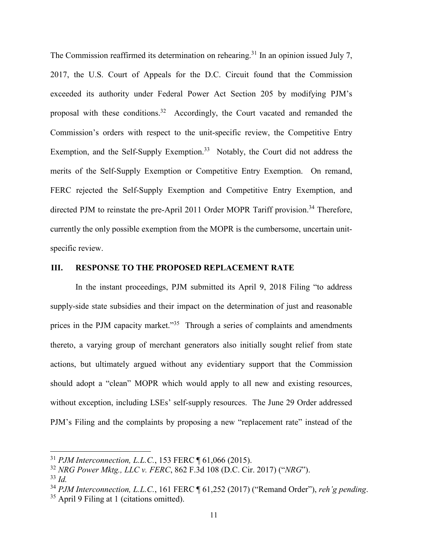The Commission reaffirmed its determination on rehearing.<sup>31</sup> In an opinion issued July 7, 2017, the U.S. Court of Appeals for the D.C. Circuit found that the Commission exceeded its authority under Federal Power Act Section 205 by modifying PJM's proposal with these conditions.<sup>32</sup> Accordingly, the Court vacated and remanded the Commission's orders with respect to the unit-specific review, the Competitive Entry Exemption, and the Self-Supply Exemption.<sup>33</sup> Notably, the Court did not address the merits of the Self-Supply Exemption or Competitive Entry Exemption. On remand, FERC rejected the Self-Supply Exemption and Competitive Entry Exemption, and directed PJM to reinstate the pre-April 2011 Order MOPR Tariff provision.<sup>34</sup> Therefore, currently the only possible exemption from the MOPR is the cumbersome, uncertain unitspecific review.

#### **III. RESPONSE TO THE PROPOSED REPLACEMENT RATE**

In the instant proceedings, PJM submitted its April 9, 2018 Filing "to address supply-side state subsidies and their impact on the determination of just and reasonable prices in the PJM capacity market. $135$  Through a series of complaints and amendments thereto, a varying group of merchant generators also initially sought relief from state actions, but ultimately argued without any evidentiary support that the Commission should adopt a "clean" MOPR which would apply to all new and existing resources, without exception, including LSEs' self-supply resources. The June 29 Order addressed PJM's Filing and the complaints by proposing a new "replacement rate" instead of the

<sup>31</sup> *PJM Interconnection, L.L.C.*, 153 FERC ¶ 61,066 (2015).

<sup>32</sup> *NRG Power Mktg., LLC v. FERC*, 862 F.3d 108 (D.C. Cir. 2017) ("*NRG*").

 $33$  *Id.* 

<sup>34</sup> *PJM Interconnection, L.L.C.*, 161 FERC ¶ 61,252 (2017) ("Remand Order"), *reh'g pending*.

<sup>&</sup>lt;sup>35</sup> April 9 Filing at 1 (citations omitted).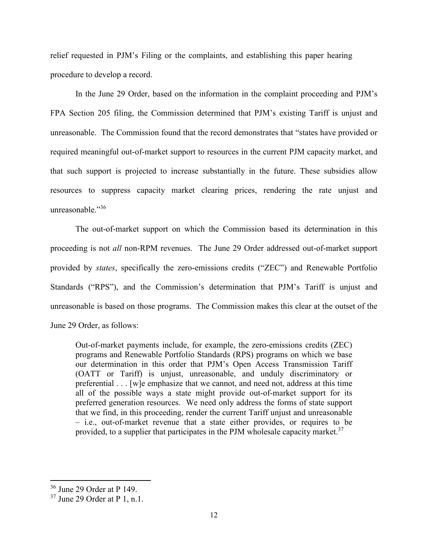relief requested in PJM's Filing or the complaints, and establishing this paper hearing procedure to develop a record.

In the June 29 Order, based on the information in the complaint proceeding and PJM's FPA Section 205 filing, the Commission determined that PJM's existing Tariff is unjust and unreasonable. The Commission found that the record demonstrates that "states have provided or required meaningful out-of-market support to resources in the current PJM capacity market, and that such support is projected to increase substantially in the future. These subsidies allow resources to suppress capacity market clearing prices, rendering the rate unjust and unreasonable."36

The out-of-market support on which the Commission based its determination in this proceeding is not *all* non-RPM revenues. The June 29 Order addressed out-of-market support provided by *states*, specifically the zero-emissions credits ("ZEC") and Renewable Portfolio Standards ("RPS"), and the Commission's determination that PJM's Tariff is unjust and unreasonable is based on those programs. The Commission makes this clear at the outset of the June 29 Order, as follows:

Out-of-market payments include, for example, the zero-emissions credits (ZEC) programs and Renewable Portfolio Standards (RPS) programs on which we base our determination in this order that PJM's Open Access Transmission Tariff (OATT or Tariff) is unjust, unreasonable, and unduly discriminatory or preferential . . . [w]e emphasize that we cannot, and need not, address at this time all of the possible ways a state might provide out-of-market support for its preferred generation resources. We need only address the forms of state support that we find, in this proceeding, render the current Tariff unjust and unreasonable – i.e., out-of-market revenue that a state either provides, or requires to be provided, to a supplier that participates in the PJM wholesale capacity market.<sup>37</sup>

<sup>36</sup> June 29 Order at P 149.

 $37$  June 29 Order at P 1, n.1.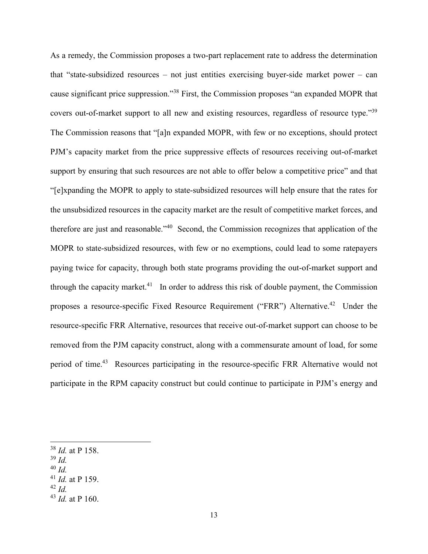As a remedy, the Commission proposes a two-part replacement rate to address the determination that "state-subsidized resources – not just entities exercising buyer-side market power – can cause significant price suppression."<sup>38</sup> First, the Commission proposes "an expanded MOPR that covers out-of-market support to all new and existing resources, regardless of resource type."<sup>39</sup> The Commission reasons that "[a]n expanded MOPR, with few or no exceptions, should protect PJM's capacity market from the price suppressive effects of resources receiving out-of-market support by ensuring that such resources are not able to offer below a competitive price" and that "[e]xpanding the MOPR to apply to state-subsidized resources will help ensure that the rates for the unsubsidized resources in the capacity market are the result of competitive market forces, and therefore are just and reasonable."<sup>40</sup> Second, the Commission recognizes that application of the MOPR to state-subsidized resources, with few or no exemptions, could lead to some ratepayers paying twice for capacity, through both state programs providing the out-of-market support and through the capacity market.<sup>41</sup> In order to address this risk of double payment, the Commission proposes a resource-specific Fixed Resource Requirement ("FRR") Alternative.<sup>42</sup> Under the resource-specific FRR Alternative, resources that receive out-of-market support can choose to be removed from the PJM capacity construct, along with a commensurate amount of load, for some period of time.<sup>43</sup> Resources participating in the resource-specific FRR Alternative would not participate in the RPM capacity construct but could continue to participate in PJM's energy and

- $39$  *Id.*
- <sup>40</sup> *Id.*
- <sup>41</sup> *Id.* at P 159.
- $42$  *Id.*

<sup>38</sup> *Id.* at P 158.

<sup>43</sup> *Id.* at P 160.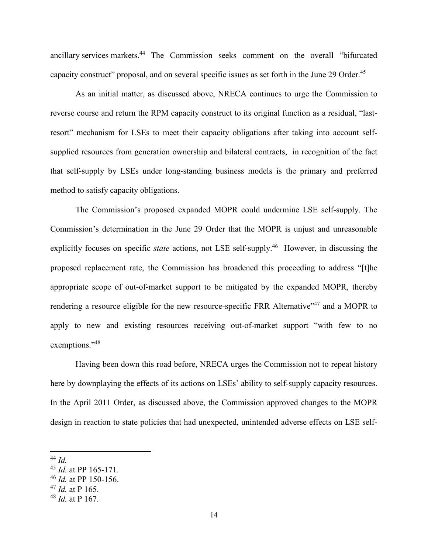ancillary services markets.<sup>44</sup> The Commission seeks comment on the overall "bifurcated capacity construct" proposal, and on several specific issues as set forth in the June 29 Order.<sup>45</sup>

As an initial matter, as discussed above, NRECA continues to urge the Commission to reverse course and return the RPM capacity construct to its original function as a residual, "lastresort" mechanism for LSEs to meet their capacity obligations after taking into account selfsupplied resources from generation ownership and bilateral contracts, in recognition of the fact that self-supply by LSEs under long-standing business models is the primary and preferred method to satisfy capacity obligations.

The Commission's proposed expanded MOPR could undermine LSE self-supply. The Commission's determination in the June 29 Order that the MOPR is unjust and unreasonable explicitly focuses on specific *state* actions, not LSE self-supply.<sup>46</sup> However, in discussing the proposed replacement rate, the Commission has broadened this proceeding to address "[t]he appropriate scope of out-of-market support to be mitigated by the expanded MOPR, thereby rendering a resource eligible for the new resource-specific FRR Alternative<sup>"47</sup> and a MOPR to apply to new and existing resources receiving out-of-market support "with few to no exemptions."48

Having been down this road before, NRECA urges the Commission not to repeat history here by downplaying the effects of its actions on LSEs' ability to self-supply capacity resources. In the April 2011 Order, as discussed above, the Commission approved changes to the MOPR design in reaction to state policies that had unexpected, unintended adverse effects on LSE self-

 $44$  *Id.* 

<sup>45</sup> *Id.* at PP 165-171.

<sup>46</sup> *Id.* at PP 150-156.

<sup>47</sup> *Id.* at P 165.

<sup>48</sup> *Id.* at P 167.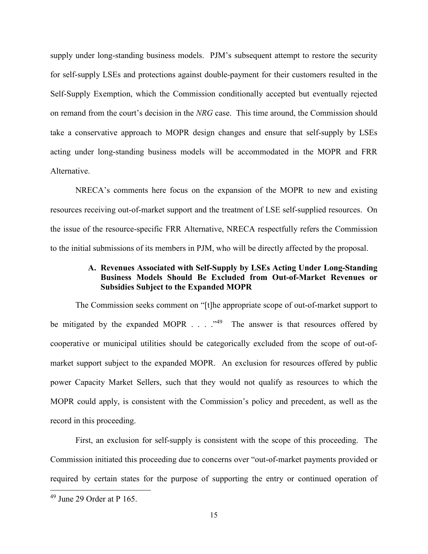supply under long-standing business models. PJM's subsequent attempt to restore the security for self-supply LSEs and protections against double-payment for their customers resulted in the Self-Supply Exemption, which the Commission conditionally accepted but eventually rejected on remand from the court's decision in the *NRG* case. This time around, the Commission should take a conservative approach to MOPR design changes and ensure that self-supply by LSEs acting under long-standing business models will be accommodated in the MOPR and FRR Alternative.

NRECA's comments here focus on the expansion of the MOPR to new and existing resources receiving out-of-market support and the treatment of LSE self-supplied resources. On the issue of the resource-specific FRR Alternative, NRECA respectfully refers the Commission to the initial submissions of its members in PJM, who will be directly affected by the proposal.

### **A. Revenues Associated with Self-Supply by LSEs Acting Under Long-Standing Business Models Should Be Excluded from Out-of-Market Revenues or Subsidies Subject to the Expanded MOPR**

The Commission seeks comment on "[t]he appropriate scope of out-of-market support to be mitigated by the expanded MOPR  $\ldots$   $\cdot$   $\cdot$  The answer is that resources offered by cooperative or municipal utilities should be categorically excluded from the scope of out-ofmarket support subject to the expanded MOPR. An exclusion for resources offered by public power Capacity Market Sellers, such that they would not qualify as resources to which the MOPR could apply, is consistent with the Commission's policy and precedent, as well as the record in this proceeding.

First, an exclusion for self-supply is consistent with the scope of this proceeding. The Commission initiated this proceeding due to concerns over "out-of-market payments provided or required by certain states for the purpose of supporting the entry or continued operation of

 $49$  June 29 Order at P 165.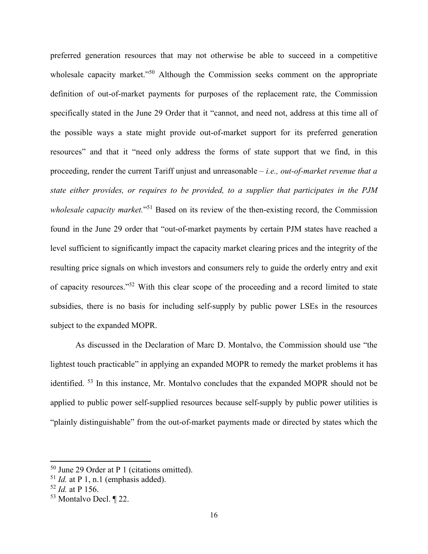preferred generation resources that may not otherwise be able to succeed in a competitive wholesale capacity market."<sup>50</sup> Although the Commission seeks comment on the appropriate definition of out-of-market payments for purposes of the replacement rate, the Commission specifically stated in the June 29 Order that it "cannot, and need not, address at this time all of the possible ways a state might provide out-of-market support for its preferred generation resources" and that it "need only address the forms of state support that we find, in this proceeding, render the current Tariff unjust and unreasonable – *i.e., out-of-market revenue that a state either provides, or requires to be provided, to a supplier that participates in the PJM*  wholesale capacity market."<sup>51</sup> Based on its review of the then-existing record, the Commission found in the June 29 order that "out-of-market payments by certain PJM states have reached a level sufficient to significantly impact the capacity market clearing prices and the integrity of the resulting price signals on which investors and consumers rely to guide the orderly entry and exit of capacity resources."<sup>52</sup> With this clear scope of the proceeding and a record limited to state subsidies, there is no basis for including self-supply by public power LSEs in the resources subject to the expanded MOPR.

As discussed in the Declaration of Marc D. Montalvo, the Commission should use "the lightest touch practicable" in applying an expanded MOPR to remedy the market problems it has identified. <sup>53</sup> In this instance, Mr. Montalvo concludes that the expanded MOPR should not be applied to public power self-supplied resources because self-supply by public power utilities is "plainly distinguishable" from the out-of-market payments made or directed by states which the

<sup>50</sup> June 29 Order at P 1 (citations omitted).

 $51$  *Id.* at P 1, n.1 (emphasis added).

<sup>52</sup> *Id.* at P 156.

<sup>53</sup> Montalvo Decl. ¶ 22.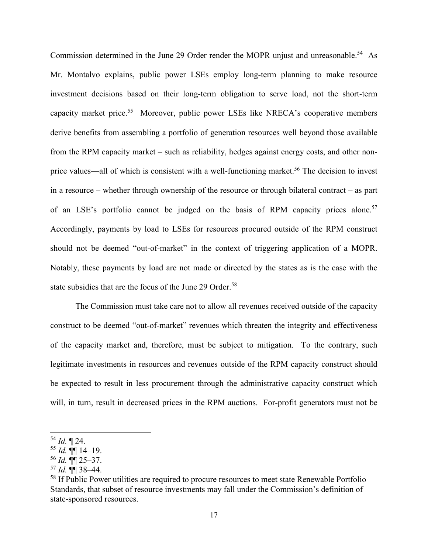Commission determined in the June 29 Order render the MOPR unjust and unreasonable.<sup>54</sup> As Mr. Montalvo explains, public power LSEs employ long-term planning to make resource investment decisions based on their long-term obligation to serve load, not the short-term capacity market price.<sup>55</sup> Moreover, public power LSEs like NRECA's cooperative members derive benefits from assembling a portfolio of generation resources well beyond those available from the RPM capacity market – such as reliability, hedges against energy costs, and other nonprice values—all of which is consistent with a well-functioning market.<sup>56</sup> The decision to invest in a resource – whether through ownership of the resource or through bilateral contract – as part of an LSE's portfolio cannot be judged on the basis of RPM capacity prices alone.<sup>57</sup> Accordingly, payments by load to LSEs for resources procured outside of the RPM construct should not be deemed "out-of-market" in the context of triggering application of a MOPR. Notably, these payments by load are not made or directed by the states as is the case with the state subsidies that are the focus of the June 29 Order.<sup>58</sup>

The Commission must take care not to allow all revenues received outside of the capacity construct to be deemed "out-of-market" revenues which threaten the integrity and effectiveness of the capacity market and, therefore, must be subject to mitigation. To the contrary, such legitimate investments in resources and revenues outside of the RPM capacity construct should be expected to result in less procurement through the administrative capacity construct which will, in turn, result in decreased prices in the RPM auctions. For-profit generators must not be

 $^{54}$  *Id.*  $\P$  24.

 $55$  *Id.*  $\P\P$  14–19.

 $^{56}$  *Id.*  $\P\P$  25–37.

 $57$  *Id.*  $\P\P$  38–44.

<sup>&</sup>lt;sup>58</sup> If Public Power utilities are required to procure resources to meet state Renewable Portfolio Standards, that subset of resource investments may fall under the Commission's definition of state-sponsored resources.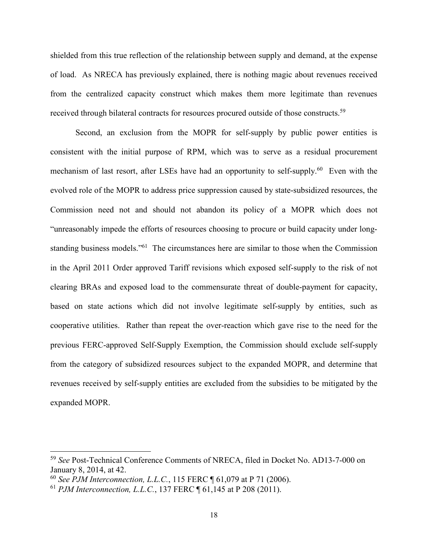shielded from this true reflection of the relationship between supply and demand, at the expense of load. As NRECA has previously explained, there is nothing magic about revenues received from the centralized capacity construct which makes them more legitimate than revenues received through bilateral contracts for resources procured outside of those constructs.<sup>59</sup>

Second, an exclusion from the MOPR for self-supply by public power entities is consistent with the initial purpose of RPM, which was to serve as a residual procurement mechanism of last resort, after LSEs have had an opportunity to self-supply.<sup>60</sup> Even with the evolved role of the MOPR to address price suppression caused by state-subsidized resources, the Commission need not and should not abandon its policy of a MOPR which does not "unreasonably impede the efforts of resources choosing to procure or build capacity under longstanding business models."<sup>61</sup> The circumstances here are similar to those when the Commission in the April 2011 Order approved Tariff revisions which exposed self-supply to the risk of not clearing BRAs and exposed load to the commensurate threat of double-payment for capacity, based on state actions which did not involve legitimate self-supply by entities, such as cooperative utilities. Rather than repeat the over-reaction which gave rise to the need for the previous FERC-approved Self-Supply Exemption, the Commission should exclude self-supply from the category of subsidized resources subject to the expanded MOPR, and determine that revenues received by self-supply entities are excluded from the subsidies to be mitigated by the expanded MOPR.

<sup>59</sup> *See* Post-Technical Conference Comments of NRECA, filed in Docket No. AD13-7-000 on January 8, 2014, at 42.

<sup>60</sup> *See PJM Interconnection, L.L.C.*, 115 FERC ¶ 61,079 at P 71 (2006).

<sup>61</sup> *PJM Interconnection, L.L.C.*, 137 FERC ¶ 61,145 at P 208 (2011).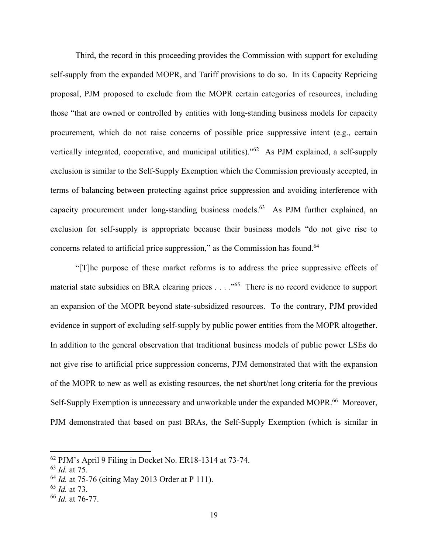Third, the record in this proceeding provides the Commission with support for excluding self-supply from the expanded MOPR, and Tariff provisions to do so. In its Capacity Repricing proposal, PJM proposed to exclude from the MOPR certain categories of resources, including those "that are owned or controlled by entities with long-standing business models for capacity procurement, which do not raise concerns of possible price suppressive intent (e.g., certain vertically integrated, cooperative, and municipal utilities)."<sup>62</sup> As PJM explained, a self-supply exclusion is similar to the Self-Supply Exemption which the Commission previously accepted, in terms of balancing between protecting against price suppression and avoiding interference with capacity procurement under long-standing business models.<sup>63</sup> As PJM further explained, an exclusion for self-supply is appropriate because their business models "do not give rise to concerns related to artificial price suppression," as the Commission has found.<sup>64</sup>

"[T]he purpose of these market reforms is to address the price suppressive effects of material state subsidies on BRA clearing prices . . . . "<sup>65</sup> There is no record evidence to support an expansion of the MOPR beyond state-subsidized resources. To the contrary, PJM provided evidence in support of excluding self-supply by public power entities from the MOPR altogether. In addition to the general observation that traditional business models of public power LSEs do not give rise to artificial price suppression concerns, PJM demonstrated that with the expansion of the MOPR to new as well as existing resources, the net short/net long criteria for the previous Self-Supply Exemption is unnecessary and unworkable under the expanded MOPR.<sup>66</sup> Moreover, PJM demonstrated that based on past BRAs, the Self-Supply Exemption (which is similar in

<sup>62</sup> PJM's April 9 Filing in Docket No. ER18-1314 at 73-74.

<sup>63</sup> *Id.* at 75.

<sup>64</sup> *Id.* at 75-76 (citing May 2013 Order at P 111).

<sup>65</sup> *Id.* at 73.

<sup>66</sup> *Id.* at 76-77.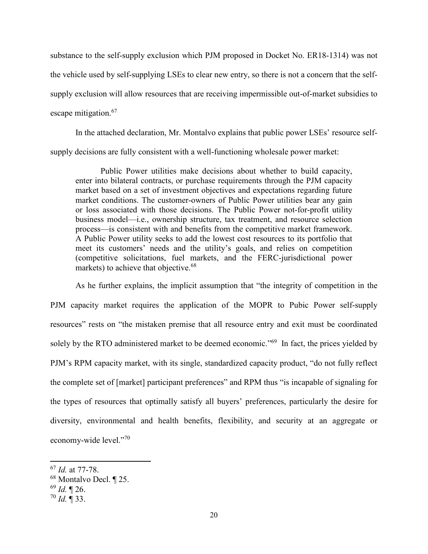substance to the self-supply exclusion which PJM proposed in Docket No. ER18-1314) was not the vehicle used by self-supplying LSEs to clear new entry, so there is not a concern that the selfsupply exclusion will allow resources that are receiving impermissible out-of-market subsidies to escape mitigation.<sup>67</sup>

In the attached declaration, Mr. Montalvo explains that public power LSEs' resource selfsupply decisions are fully consistent with a well-functioning wholesale power market:

Public Power utilities make decisions about whether to build capacity, enter into bilateral contracts, or purchase requirements through the PJM capacity market based on a set of investment objectives and expectations regarding future market conditions. The customer-owners of Public Power utilities bear any gain or loss associated with those decisions. The Public Power not-for-profit utility business model—i.e., ownership structure, tax treatment, and resource selection process—is consistent with and benefits from the competitive market framework. A Public Power utility seeks to add the lowest cost resources to its portfolio that meet its customers' needs and the utility's goals, and relies on competition (competitive solicitations, fuel markets, and the FERC-jurisdictional power markets) to achieve that objective.<sup>68</sup>

As he further explains, the implicit assumption that "the integrity of competition in the PJM capacity market requires the application of the MOPR to Pubic Power self-supply resources" rests on "the mistaken premise that all resource entry and exit must be coordinated solely by the RTO administered market to be deemed economic."<sup>69</sup> In fact, the prices yielded by PJM's RPM capacity market, with its single, standardized capacity product, "do not fully reflect the complete set of [market] participant preferences" and RPM thus "is incapable of signaling for the types of resources that optimally satisfy all buyers' preferences, particularly the desire for diversity, environmental and health benefits, flexibility, and security at an aggregate or economy-wide level."<sup>70</sup>

<sup>67</sup> *Id.* at 77-78.

<sup>68</sup> Montalvo Decl. ¶ 25.

<sup>69</sup> *Id.* ¶ 26.

 $70$  *Id.*  $\overline{9}$  33.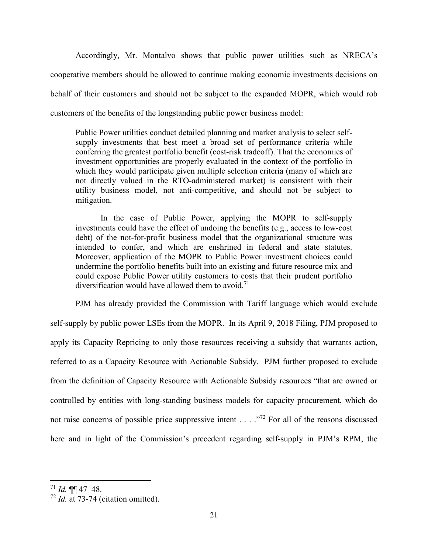Accordingly, Mr. Montalvo shows that public power utilities such as NRECA's cooperative members should be allowed to continue making economic investments decisions on behalf of their customers and should not be subject to the expanded MOPR, which would rob customers of the benefits of the longstanding public power business model:

Public Power utilities conduct detailed planning and market analysis to select selfsupply investments that best meet a broad set of performance criteria while conferring the greatest portfolio benefit (cost-risk tradeoff). That the economics of investment opportunities are properly evaluated in the context of the portfolio in which they would participate given multiple selection criteria (many of which are not directly valued in the RTO-administered market) is consistent with their utility business model, not anti-competitive, and should not be subject to mitigation.

In the case of Public Power, applying the MOPR to self-supply investments could have the effect of undoing the benefits (e.g., access to low-cost debt) of the not-for-profit business model that the organizational structure was intended to confer, and which are enshrined in federal and state statutes. Moreover, application of the MOPR to Public Power investment choices could undermine the portfolio benefits built into an existing and future resource mix and could expose Public Power utility customers to costs that their prudent portfolio diversification would have allowed them to avoid.<sup>71</sup>

PJM has already provided the Commission with Tariff language which would exclude self-supply by public power LSEs from the MOPR. In its April 9, 2018 Filing, PJM proposed to apply its Capacity Repricing to only those resources receiving a subsidy that warrants action, referred to as a Capacity Resource with Actionable Subsidy. PJM further proposed to exclude from the definition of Capacity Resource with Actionable Subsidy resources "that are owned or controlled by entities with long-standing business models for capacity procurement, which do not raise concerns of possible price suppressive intent . . . .<sup>"72</sup> For all of the reasons discussed here and in light of the Commission's precedent regarding self-supply in PJM's RPM, the

<sup>71</sup> *Id.* ¶¶ 47–48.

<sup>72</sup> *Id.* at 73-74 (citation omitted).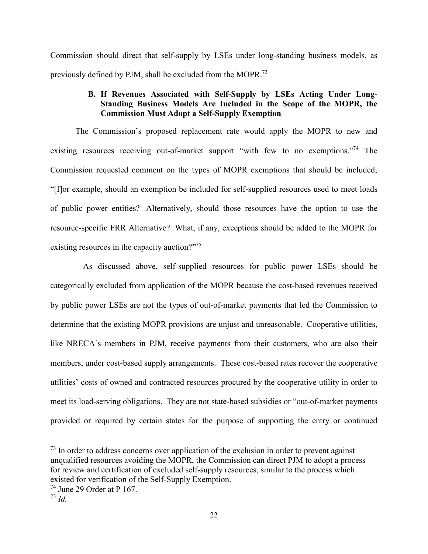Commission should direct that self-supply by LSEs under long-standing business models, as previously defined by PJM, shall be excluded from the MOPR.<sup>73</sup>

## **B. If Revenues Associated with Self-Supply by LSEs Acting Under Long-Standing Business Models Are Included in the Scope of the MOPR, the Commission Must Adopt a Self-Supply Exemption**

The Commission's proposed replacement rate would apply the MOPR to new and existing resources receiving out-of-market support "with few to no exemptions."<sup>74</sup> The Commission requested comment on the types of MOPR exemptions that should be included; "[f]or example, should an exemption be included for self-supplied resources used to meet loads of public power entities? Alternatively, should those resources have the option to use the resource-specific FRR Alternative? What, if any, exceptions should be added to the MOPR for existing resources in the capacity auction?"<sup>75</sup>

 As discussed above, self-supplied resources for public power LSEs should be categorically excluded from application of the MOPR because the cost-based revenues received by public power LSEs are not the types of out-of-market payments that led the Commission to determine that the existing MOPR provisions are unjust and unreasonable. Cooperative utilities, like NRECA's members in PJM, receive payments from their customers, who are also their members, under cost-based supply arrangements. These cost-based rates recover the cooperative utilities' costs of owned and contracted resources procured by the cooperative utility in order to meet its load-serving obligations. They are not state-based subsidies or "out-of-market payments provided or required by certain states for the purpose of supporting the entry or continued

 $^{73}$  In order to address concerns over application of the exclusion in order to prevent against unqualified resources avoiding the MOPR, the Commission can direct PJM to adopt a process for review and certification of excluded self-supply resources, similar to the process which existed for verification of the Self-Supply Exemption.

 $74$  June 29 Order at P 167.

<sup>75</sup> *Id.*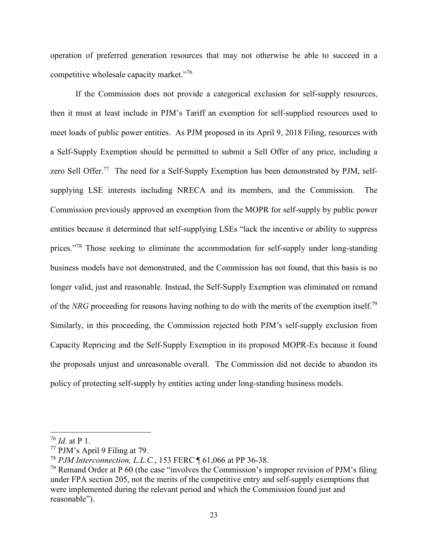operation of preferred generation resources that may not otherwise be able to succeed in a competitive wholesale capacity market."<sup>76</sup>

If the Commission does not provide a categorical exclusion for self-supply resources, then it must at least include in PJM's Tariff an exemption for self-supplied resources used to meet loads of public power entities. As PJM proposed in its April 9, 2018 Filing, resources with a Self-Supply Exemption should be permitted to submit a Sell Offer of any price, including a zero Sell Offer.<sup>77</sup> The need for a Self-Supply Exemption has been demonstrated by PJM, selfsupplying LSE interests including NRECA and its members, and the Commission. The Commission previously approved an exemption from the MOPR for self-supply by public power entities because it determined that self-supplying LSEs "lack the incentive or ability to suppress prices."<sup>78</sup> Those seeking to eliminate the accommodation for self-supply under long-standing business models have not demonstrated, and the Commission has not found, that this basis is no longer valid, just and reasonable. Instead, the Self-Supply Exemption was eliminated on remand of the *NRG* proceeding for reasons having nothing to do with the merits of the exemption itself.<sup>79</sup> Similarly, in this proceeding, the Commission rejected both PJM's self-supply exclusion from Capacity Repricing and the Self-Supply Exemption in its proposed MOPR-Ex because it found the proposals unjust and unreasonable overall. The Commission did not decide to abandon its policy of protecting self-supply by entities acting under long-standing business models.

<sup>76</sup> *Id.* at P 1.

<sup>77</sup> PJM's April 9 Filing at 79.

<sup>78</sup> *PJM Interconnection, L.L.C.*, 153 FERC ¶ 61,066 at PP 36-38.

 $79$  Remand Order at P 60 (the case "involves the Commission's improper revision of PJM's filing under FPA section 205, not the merits of the competitive entry and self-supply exemptions that were implemented during the relevant period and which the Commission found just and reasonable").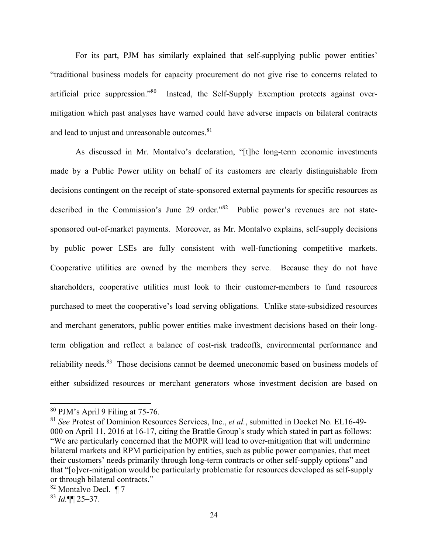For its part, PJM has similarly explained that self-supplying public power entities' "traditional business models for capacity procurement do not give rise to concerns related to artificial price suppression."<sup>80</sup> Instead, the Self-Supply Exemption protects against overmitigation which past analyses have warned could have adverse impacts on bilateral contracts and lead to unjust and unreasonable outcomes.<sup>81</sup>

As discussed in Mr. Montalvo's declaration, "[t]he long-term economic investments made by a Public Power utility on behalf of its customers are clearly distinguishable from decisions contingent on the receipt of state-sponsored external payments for specific resources as described in the Commission's June 29 order."<sup>82</sup> Public power's revenues are not statesponsored out-of-market payments. Moreover, as Mr. Montalvo explains, self-supply decisions by public power LSEs are fully consistent with well-functioning competitive markets. Cooperative utilities are owned by the members they serve. Because they do not have shareholders, cooperative utilities must look to their customer-members to fund resources purchased to meet the cooperative's load serving obligations. Unlike state-subsidized resources and merchant generators, public power entities make investment decisions based on their longterm obligation and reflect a balance of cost-risk tradeoffs, environmental performance and reliability needs.<sup>83</sup> Those decisions cannot be deemed uneconomic based on business models of either subsidized resources or merchant generators whose investment decision are based on

<sup>80</sup> PJM's April 9 Filing at 75-76.

<sup>81</sup> *See* Protest of Dominion Resources Services, Inc., *et al.*, submitted in Docket No. EL16-49- 000 on April 11, 2016 at 16-17, citing the Brattle Group's study which stated in part as follows: "We are particularly concerned that the MOPR will lead to over-mitigation that will undermine bilateral markets and RPM participation by entities, such as public power companies, that meet their customers' needs primarily through long-term contracts or other self-supply options" and that "[o]ver-mitigation would be particularly problematic for resources developed as self-supply or through bilateral contracts."

<sup>82</sup> Montalvo Decl. ¶ 7

<sup>83</sup> *Id.*¶¶ 25–37.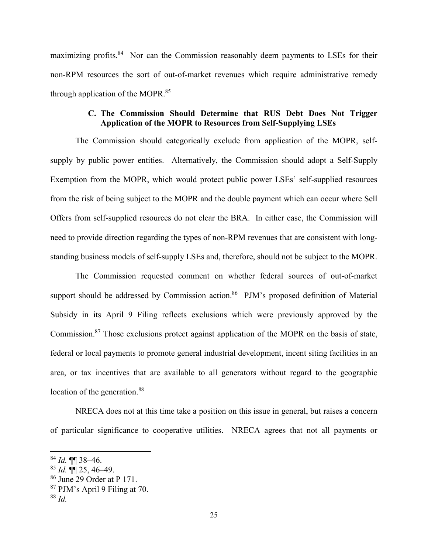maximizing profits.<sup>84</sup> Nor can the Commission reasonably deem payments to LSEs for their non-RPM resources the sort of out-of-market revenues which require administrative remedy through application of the MOPR.<sup>85</sup>

## **C. The Commission Should Determine that RUS Debt Does Not Trigger Application of the MOPR to Resources from Self-Supplying LSEs**

The Commission should categorically exclude from application of the MOPR, selfsupply by public power entities. Alternatively, the Commission should adopt a Self-Supply Exemption from the MOPR, which would protect public power LSEs' self-supplied resources from the risk of being subject to the MOPR and the double payment which can occur where Sell Offers from self-supplied resources do not clear the BRA. In either case, the Commission will need to provide direction regarding the types of non-RPM revenues that are consistent with longstanding business models of self-supply LSEs and, therefore, should not be subject to the MOPR.

The Commission requested comment on whether federal sources of out-of-market support should be addressed by Commission action.<sup>86</sup> PJM's proposed definition of Material Subsidy in its April 9 Filing reflects exclusions which were previously approved by the Commission.<sup>87</sup> Those exclusions protect against application of the MOPR on the basis of state, federal or local payments to promote general industrial development, incent siting facilities in an area, or tax incentives that are available to all generators without regard to the geographic location of the generation.<sup>88</sup>

NRECA does not at this time take a position on this issue in general, but raises a concern of particular significance to cooperative utilities. NRECA agrees that not all payments or

<sup>84</sup> *Id.* ¶¶ 38–46.

 $85$  *Id.*  $\P\P$  25, 46–49.

<sup>86</sup> June 29 Order at P 171.

<sup>87</sup> PJM's April 9 Filing at 70.

<sup>88</sup> *Id.*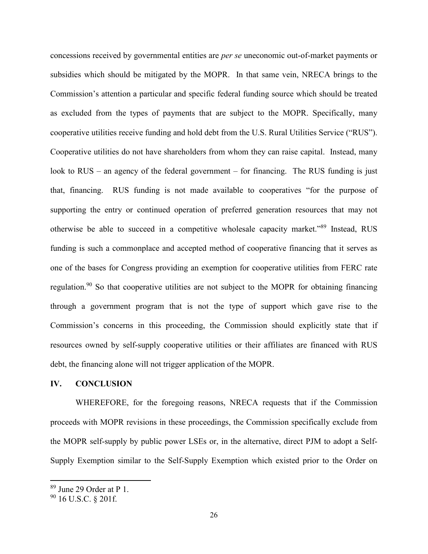concessions received by governmental entities are *per se* uneconomic out-of-market payments or subsidies which should be mitigated by the MOPR. In that same vein, NRECA brings to the Commission's attention a particular and specific federal funding source which should be treated as excluded from the types of payments that are subject to the MOPR. Specifically, many cooperative utilities receive funding and hold debt from the U.S. Rural Utilities Service ("RUS"). Cooperative utilities do not have shareholders from whom they can raise capital. Instead, many look to RUS – an agency of the federal government – for financing. The RUS funding is just that, financing. RUS funding is not made available to cooperatives "for the purpose of supporting the entry or continued operation of preferred generation resources that may not otherwise be able to succeed in a competitive wholesale capacity market."<sup>89</sup> Instead, RUS funding is such a commonplace and accepted method of cooperative financing that it serves as one of the bases for Congress providing an exemption for cooperative utilities from FERC rate regulation.<sup>90</sup> So that cooperative utilities are not subject to the MOPR for obtaining financing through a government program that is not the type of support which gave rise to the Commission's concerns in this proceeding, the Commission should explicitly state that if resources owned by self-supply cooperative utilities or their affiliates are financed with RUS debt, the financing alone will not trigger application of the MOPR.

#### **IV. CONCLUSION**

WHEREFORE, for the foregoing reasons, NRECA requests that if the Commission proceeds with MOPR revisions in these proceedings, the Commission specifically exclude from the MOPR self-supply by public power LSEs or, in the alternative, direct PJM to adopt a Self-Supply Exemption similar to the Self-Supply Exemption which existed prior to the Order on

 $\frac{89}{1}$  June 29 Order at P 1.

<sup>90</sup> 16 U.S.C. § 201f.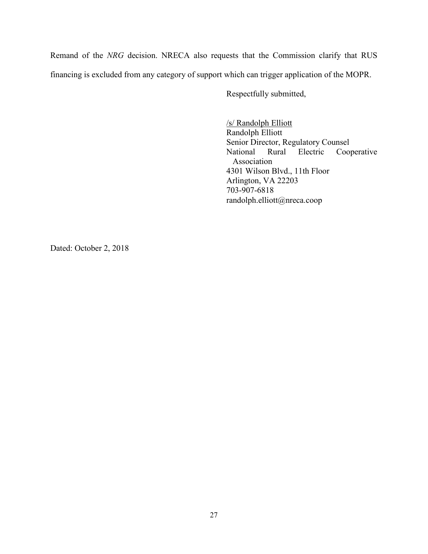Remand of the *NRG* decision. NRECA also requests that the Commission clarify that RUS financing is excluded from any category of support which can trigger application of the MOPR.

Respectfully submitted,

/s/ Randolph Elliott Randolph Elliott Senior Director, Regulatory Counsel National Rural Electric Cooperative Association 4301 Wilson Blvd., 11th Floor Arlington, VA 22203 703-907-6818 randolph.elliott@nreca.coop

Dated: October 2, 2018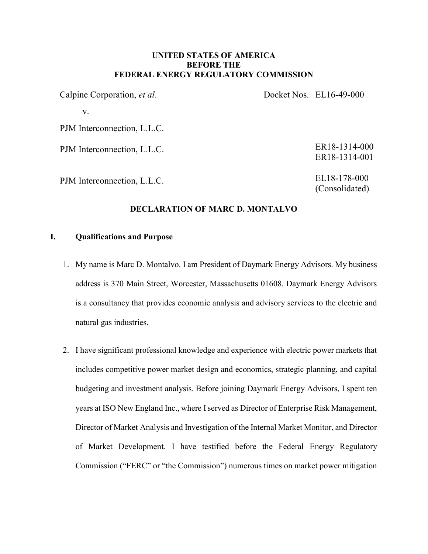### UNITED STATES OF AMERICA BEFORE THE FEDERAL ENERGY REGULATORY COMMISSION

| Calpine Corporation, et al. | Docket Nos. EL16-49-000        |
|-----------------------------|--------------------------------|
| v.                          |                                |
| PJM Interconnection, L.L.C. |                                |
| PJM Interconnection, L.L.C. | ER18-1314-000<br>ER18-1314-001 |
| PJM Interconnection, L.L.C. | EL18-178-000<br>(Consolidated) |

### DECLARATION OF MARC D. MONTALVO

#### I. Qualifications and Purpose

- 1. My name is Marc D. Montalvo. I am President of Daymark Energy Advisors. My business address is 370 Main Street, Worcester, Massachusetts 01608. Daymark Energy Advisors is a consultancy that provides economic analysis and advisory services to the electric and natural gas industries.
- 2. I have significant professional knowledge and experience with electric power markets that includes competitive power market design and economics, strategic planning, and capital budgeting and investment analysis. Before joining Daymark Energy Advisors, I spent ten years at ISO New England Inc., where I served as Director of Enterprise Risk Management, Director of Market Analysis and Investigation of the Internal Market Monitor, and Director of Market Development. I have testified before the Federal Energy Regulatory Commission ("FERC" or "the Commission") numerous times on market power mitigation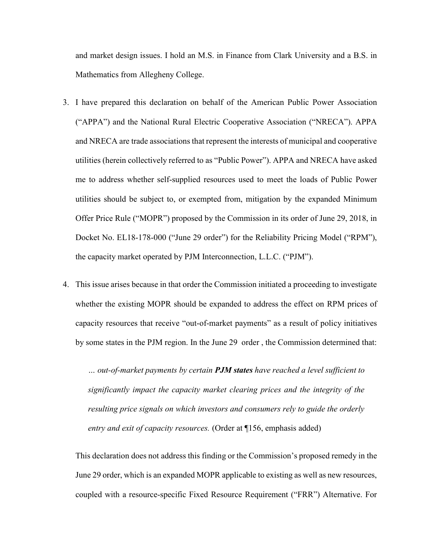and market design issues. I hold an M.S. in Finance from Clark University and a B.S. in Mathematics from Allegheny College.

- 3. I have prepared this declaration on behalf of the American Public Power Association ("APPA") and the National Rural Electric Cooperative Association ("NRECA"). APPA and NRECA are trade associations that represent the interests of municipal and cooperative utilities (herein collectively referred to as "Public Power"). APPA and NRECA have asked me to address whether self-supplied resources used to meet the loads of Public Power utilities should be subject to, or exempted from, mitigation by the expanded Minimum Offer Price Rule ("MOPR") proposed by the Commission in its order of June 29, 2018, in Docket No. EL18-178-000 ("June 29 order") for the Reliability Pricing Model ("RPM"), the capacity market operated by PJM Interconnection, L.L.C. ("PJM").
- 4. This issue arises because in that order the Commission initiated a proceeding to investigate whether the existing MOPR should be expanded to address the effect on RPM prices of capacity resources that receive "out-of-market payments" as a result of policy initiatives by some states in the PJM region. In the June 29 order , the Commission determined that:

... out-of-market payments by certain **PJM states** have reached a level sufficient to significantly impact the capacity market clearing prices and the integrity of the resulting price signals on which investors and consumers rely to guide the orderly entry and exit of capacity resources. (Order at ¶156, emphasis added)

This declaration does not address this finding or the Commission's proposed remedy in the June 29 order, which is an expanded MOPR applicable to existing as well as new resources, coupled with a resource-specific Fixed Resource Requirement ("FRR") Alternative. For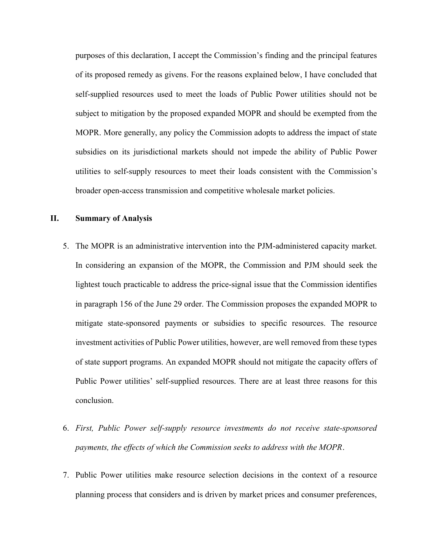purposes of this declaration, I accept the Commission's finding and the principal features of its proposed remedy as givens. For the reasons explained below, I have concluded that self-supplied resources used to meet the loads of Public Power utilities should not be subject to mitigation by the proposed expanded MOPR and should be exempted from the MOPR. More generally, any policy the Commission adopts to address the impact of state subsidies on its jurisdictional markets should not impede the ability of Public Power utilities to self-supply resources to meet their loads consistent with the Commission's broader open-access transmission and competitive wholesale market policies.

#### II. Summary of Analysis

- 5. The MOPR is an administrative intervention into the PJM-administered capacity market. In considering an expansion of the MOPR, the Commission and PJM should seek the lightest touch practicable to address the price-signal issue that the Commission identifies in paragraph 156 of the June 29 order. The Commission proposes the expanded MOPR to mitigate state-sponsored payments or subsidies to specific resources. The resource investment activities of Public Power utilities, however, are well removed from these types of state support programs. An expanded MOPR should not mitigate the capacity offers of Public Power utilities' self-supplied resources. There are at least three reasons for this conclusion.
- 6. First, Public Power self-supply resource investments do not receive state-sponsored payments, the effects of which the Commission seeks to address with the MOPR.
- 7. Public Power utilities make resource selection decisions in the context of a resource planning process that considers and is driven by market prices and consumer preferences,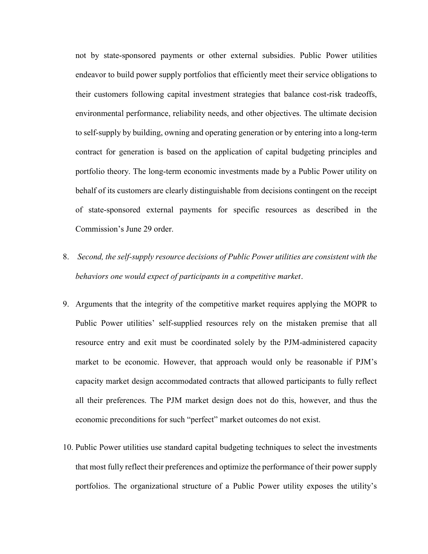not by state-sponsored payments or other external subsidies. Public Power utilities endeavor to build power supply portfolios that efficiently meet their service obligations to their customers following capital investment strategies that balance cost-risk tradeoffs, environmental performance, reliability needs, and other objectives. The ultimate decision to self-supply by building, owning and operating generation or by entering into a long-term contract for generation is based on the application of capital budgeting principles and portfolio theory. The long-term economic investments made by a Public Power utility on behalf of its customers are clearly distinguishable from decisions contingent on the receipt of state-sponsored external payments for specific resources as described in the Commission's June 29 order.

- 8. Second, the self-supply resource decisions of Public Power utilities are consistent with the behaviors one would expect of participants in a competitive market.
- 9. Arguments that the integrity of the competitive market requires applying the MOPR to Public Power utilities' self-supplied resources rely on the mistaken premise that all resource entry and exit must be coordinated solely by the PJM-administered capacity market to be economic. However, that approach would only be reasonable if PJM's capacity market design accommodated contracts that allowed participants to fully reflect all their preferences. The PJM market design does not do this, however, and thus the economic preconditions for such "perfect" market outcomes do not exist.
- 10. Public Power utilities use standard capital budgeting techniques to select the investments that most fully reflect their preferences and optimize the performance of their power supply portfolios. The organizational structure of a Public Power utility exposes the utility's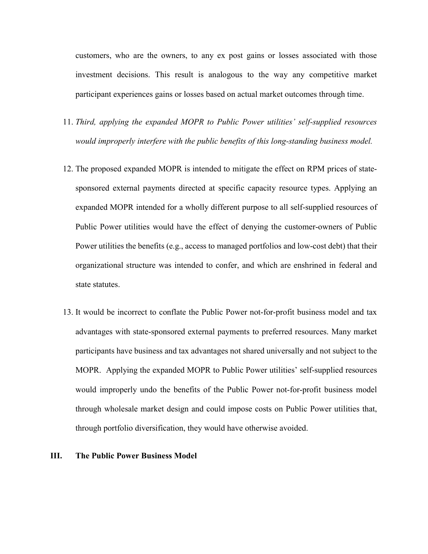customers, who are the owners, to any ex post gains or losses associated with those investment decisions. This result is analogous to the way any competitive market participant experiences gains or losses based on actual market outcomes through time.

- 11. Third, applying the expanded MOPR to Public Power utilities' self-supplied resources would improperly interfere with the public benefits of this long-standing business model.
- 12. The proposed expanded MOPR is intended to mitigate the effect on RPM prices of statesponsored external payments directed at specific capacity resource types. Applying an expanded MOPR intended for a wholly different purpose to all self-supplied resources of Public Power utilities would have the effect of denying the customer-owners of Public Power utilities the benefits (e.g., access to managed portfolios and low-cost debt) that their organizational structure was intended to confer, and which are enshrined in federal and state statutes.
- 13. It would be incorrect to conflate the Public Power not-for-profit business model and tax advantages with state-sponsored external payments to preferred resources. Many market participants have business and tax advantages not shared universally and not subject to the MOPR. Applying the expanded MOPR to Public Power utilities' self-supplied resources would improperly undo the benefits of the Public Power not-for-profit business model through wholesale market design and could impose costs on Public Power utilities that, through portfolio diversification, they would have otherwise avoided.

#### III. The Public Power Business Model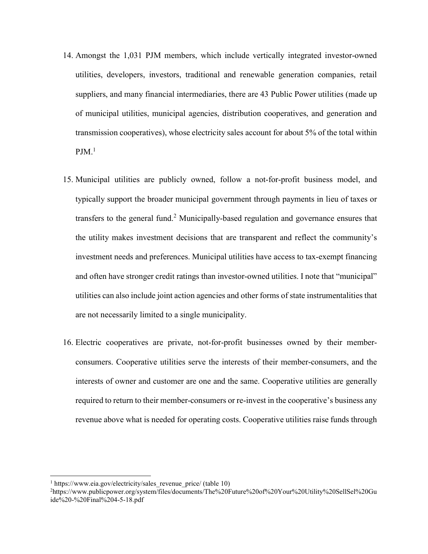- 14. Amongst the 1,031 PJM members, which include vertically integrated investor-owned utilities, developers, investors, traditional and renewable generation companies, retail suppliers, and many financial intermediaries, there are 43 Public Power utilities (made up of municipal utilities, municipal agencies, distribution cooperatives, and generation and transmission cooperatives), whose electricity sales account for about 5% of the total within  $PJM.$ <sup>1</sup>
- 15. Municipal utilities are publicly owned, follow a not-for-profit business model, and typically support the broader municipal government through payments in lieu of taxes or transfers to the general fund.<sup>2</sup> Municipally-based regulation and governance ensures that the utility makes investment decisions that are transparent and reflect the community's investment needs and preferences. Municipal utilities have access to tax-exempt financing and often have stronger credit ratings than investor-owned utilities. I note that "municipal" utilities can also include joint action agencies and other forms of state instrumentalities that are not necessarily limited to a single municipality.
- 16. Electric cooperatives are private, not-for-profit businesses owned by their memberconsumers. Cooperative utilities serve the interests of their member-consumers, and the interests of owner and customer are one and the same. Cooperative utilities are generally required to return to their member-consumers or re-invest in the cooperative's business any revenue above what is needed for operating costs. Cooperative utilities raise funds through

<sup>&</sup>lt;sup>1</sup> https://www.eia.gov/electricity/sales revenue price/ (table 10)

<sup>2</sup>https://www.publicpower.org/system/files/documents/The%20Future%20of%20Your%20Utility%20SellSel%20Gu ide%20-%20Final%204-5-18.pdf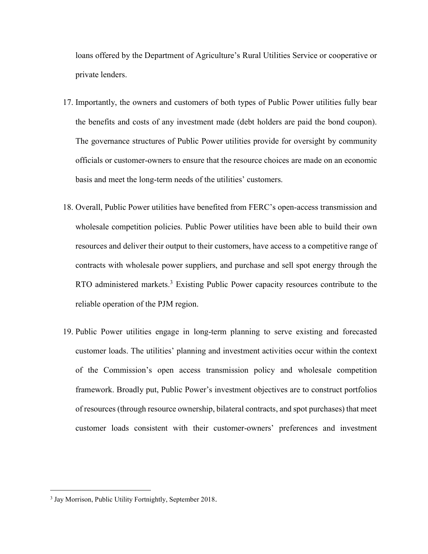loans offered by the Department of Agriculture's Rural Utilities Service or cooperative or private lenders.

- 17. Importantly, the owners and customers of both types of Public Power utilities fully bear the benefits and costs of any investment made (debt holders are paid the bond coupon). The governance structures of Public Power utilities provide for oversight by community officials or customer-owners to ensure that the resource choices are made on an economic basis and meet the long-term needs of the utilities' customers.
- 18. Overall, Public Power utilities have benefited from FERC's open-access transmission and wholesale competition policies. Public Power utilities have been able to build their own resources and deliver their output to their customers, have access to a competitive range of contracts with wholesale power suppliers, and purchase and sell spot energy through the RTO administered markets.<sup>3</sup> Existing Public Power capacity resources contribute to the reliable operation of the PJM region.
- 19. Public Power utilities engage in long-term planning to serve existing and forecasted customer loads. The utilities' planning and investment activities occur within the context of the Commission's open access transmission policy and wholesale competition framework. Broadly put, Public Power's investment objectives are to construct portfolios of resources (through resource ownership, bilateral contracts, and spot purchases) that meet customer loads consistent with their customer-owners' preferences and investment

<sup>&</sup>lt;sup>3</sup> Jay Morrison, Public Utility Fortnightly, September 2018.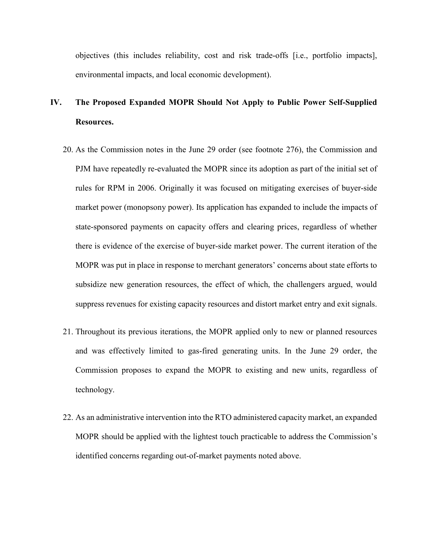objectives (this includes reliability, cost and risk trade-offs [i.e., portfolio impacts], environmental impacts, and local economic development).

# IV. The Proposed Expanded MOPR Should Not Apply to Public Power Self-Supplied Resources.

- 20. As the Commission notes in the June 29 order (see footnote 276), the Commission and PJM have repeatedly re-evaluated the MOPR since its adoption as part of the initial set of rules for RPM in 2006. Originally it was focused on mitigating exercises of buyer-side market power (monopsony power). Its application has expanded to include the impacts of state-sponsored payments on capacity offers and clearing prices, regardless of whether there is evidence of the exercise of buyer-side market power. The current iteration of the MOPR was put in place in response to merchant generators' concerns about state efforts to subsidize new generation resources, the effect of which, the challengers argued, would suppress revenues for existing capacity resources and distort market entry and exit signals.
- 21. Throughout its previous iterations, the MOPR applied only to new or planned resources and was effectively limited to gas-fired generating units. In the June 29 order, the Commission proposes to expand the MOPR to existing and new units, regardless of technology.
- 22. As an administrative intervention into the RTO administered capacity market, an expanded MOPR should be applied with the lightest touch practicable to address the Commission's identified concerns regarding out-of-market payments noted above.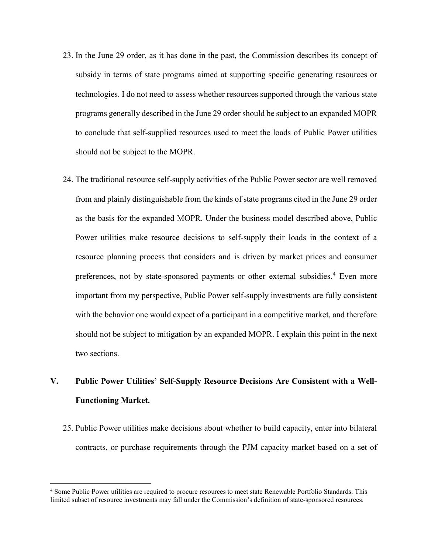- 23. In the June 29 order, as it has done in the past, the Commission describes its concept of subsidy in terms of state programs aimed at supporting specific generating resources or technologies. I do not need to assess whether resources supported through the various state programs generally described in the June 29 order should be subject to an expanded MOPR to conclude that self-supplied resources used to meet the loads of Public Power utilities should not be subject to the MOPR.
- 24. The traditional resource self-supply activities of the Public Power sector are well removed from and plainly distinguishable from the kinds of state programs cited in the June 29 order as the basis for the expanded MOPR. Under the business model described above, Public Power utilities make resource decisions to self-supply their loads in the context of a resource planning process that considers and is driven by market prices and consumer preferences, not by state-sponsored payments or other external subsidies.<sup>4</sup> Even more important from my perspective, Public Power self-supply investments are fully consistent with the behavior one would expect of a participant in a competitive market, and therefore should not be subject to mitigation by an expanded MOPR. I explain this point in the next two sections.

# V. Public Power Utilities' Self-Supply Resource Decisions Are Consistent with a Well-Functioning Market.

25. Public Power utilities make decisions about whether to build capacity, enter into bilateral contracts, or purchase requirements through the PJM capacity market based on a set of

 $\overline{a}$ 

<sup>4</sup> Some Public Power utilities are required to procure resources to meet state Renewable Portfolio Standards. This limited subset of resource investments may fall under the Commission's definition of state-sponsored resources.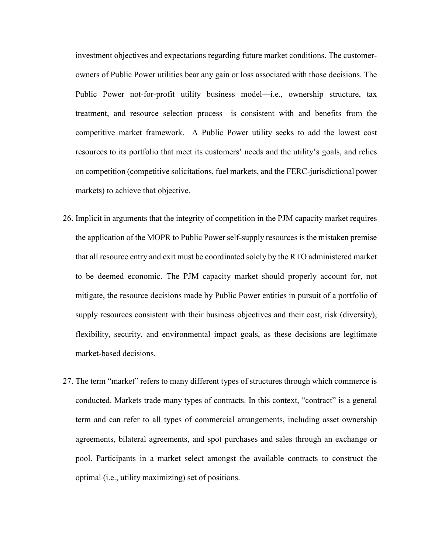investment objectives and expectations regarding future market conditions. The customerowners of Public Power utilities bear any gain or loss associated with those decisions. The Public Power not-for-profit utility business model—i.e., ownership structure, tax treatment, and resource selection process—is consistent with and benefits from the competitive market framework. A Public Power utility seeks to add the lowest cost resources to its portfolio that meet its customers' needs and the utility's goals, and relies on competition (competitive solicitations, fuel markets, and the FERC-jurisdictional power markets) to achieve that objective.

- 26. Implicit in arguments that the integrity of competition in the PJM capacity market requires the application of the MOPR to Public Power self-supply resources is the mistaken premise that all resource entry and exit must be coordinated solely by the RTO administered market to be deemed economic. The PJM capacity market should properly account for, not mitigate, the resource decisions made by Public Power entities in pursuit of a portfolio of supply resources consistent with their business objectives and their cost, risk (diversity), flexibility, security, and environmental impact goals, as these decisions are legitimate market-based decisions.
- 27. The term "market" refers to many different types of structures through which commerce is conducted. Markets trade many types of contracts. In this context, "contract" is a general term and can refer to all types of commercial arrangements, including asset ownership agreements, bilateral agreements, and spot purchases and sales through an exchange or pool. Participants in a market select amongst the available contracts to construct the optimal (i.e., utility maximizing) set of positions.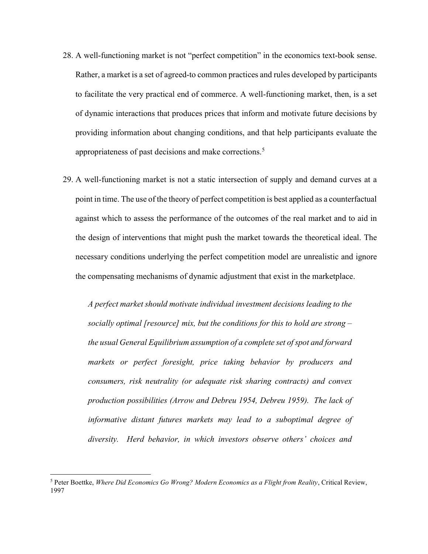- 28. A well-functioning market is not "perfect competition" in the economics text-book sense. Rather, a market is a set of agreed-to common practices and rules developed by participants to facilitate the very practical end of commerce. A well-functioning market, then, is a set of dynamic interactions that produces prices that inform and motivate future decisions by providing information about changing conditions, and that help participants evaluate the appropriateness of past decisions and make corrections.<sup>5</sup>
- 29. A well-functioning market is not a static intersection of supply and demand curves at a point in time. The use of the theory of perfect competition is best applied as a counterfactual against which to assess the performance of the outcomes of the real market and to aid in the design of interventions that might push the market towards the theoretical ideal. The necessary conditions underlying the perfect competition model are unrealistic and ignore the compensating mechanisms of dynamic adjustment that exist in the marketplace.

A perfect market should motivate individual investment decisions leading to the socially optimal [resource] mix, but the conditions for this to hold are strong  $$ the usual General Equilibrium assumption of a complete set of spot and forward markets or perfect foresight, price taking behavior by producers and consumers, risk neutrality (or adequate risk sharing contracts) and convex production possibilities (Arrow and Debreu 1954, Debreu 1959). The lack of informative distant futures markets may lead to a suboptimal degree of diversity. Herd behavior, in which investors observe others' choices and

 $\overline{a}$ 

<sup>&</sup>lt;sup>5</sup> Peter Boettke, Where Did Economics Go Wrong? Modern Economics as a Flight from Reality, Critical Review, 1997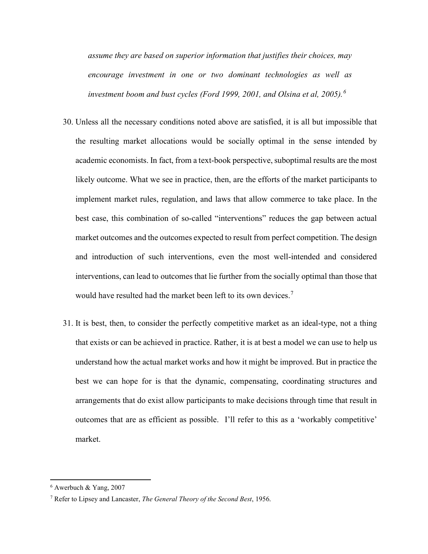assume they are based on superior information that justifies their choices, may encourage investment in one or two dominant technologies as well as investment boom and bust cycles (Ford 1999, 2001, and Olsina et al, 2005).<sup>6</sup>

- 30. Unless all the necessary conditions noted above are satisfied, it is all but impossible that the resulting market allocations would be socially optimal in the sense intended by academic economists. In fact, from a text-book perspective, suboptimal results are the most likely outcome. What we see in practice, then, are the efforts of the market participants to implement market rules, regulation, and laws that allow commerce to take place. In the best case, this combination of so-called "interventions" reduces the gap between actual market outcomes and the outcomes expected to result from perfect competition. The design and introduction of such interventions, even the most well-intended and considered interventions, can lead to outcomes that lie further from the socially optimal than those that would have resulted had the market been left to its own devices.<sup>7</sup>
- 31. It is best, then, to consider the perfectly competitive market as an ideal-type, not a thing that exists or can be achieved in practice. Rather, it is at best a model we can use to help us understand how the actual market works and how it might be improved. But in practice the best we can hope for is that the dynamic, compensating, coordinating structures and arrangements that do exist allow participants to make decisions through time that result in outcomes that are as efficient as possible. I'll refer to this as a 'workably competitive' market.

<sup>6</sup> Awerbuch & Yang, 2007

<sup>&</sup>lt;sup>7</sup> Refer to Lipsey and Lancaster, *The General Theory of the Second Best*, 1956.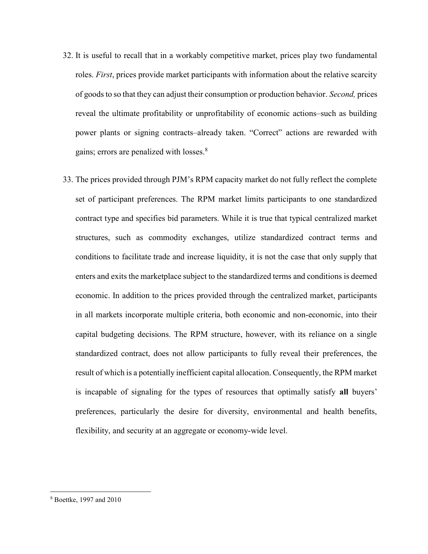- 32. It is useful to recall that in a workably competitive market, prices play two fundamental roles. *First*, prices provide market participants with information about the relative scarcity of goods to so that they can adjust their consumption or production behavior. Second, prices reveal the ultimate profitability or unprofitability of economic actions–such as building power plants or signing contracts–already taken. "Correct" actions are rewarded with gains; errors are penalized with losses.<sup>8</sup>
- 33. The prices provided through PJM's RPM capacity market do not fully reflect the complete set of participant preferences. The RPM market limits participants to one standardized contract type and specifies bid parameters. While it is true that typical centralized market structures, such as commodity exchanges, utilize standardized contract terms and conditions to facilitate trade and increase liquidity, it is not the case that only supply that enters and exits the marketplace subject to the standardized terms and conditions is deemed economic. In addition to the prices provided through the centralized market, participants in all markets incorporate multiple criteria, both economic and non-economic, into their capital budgeting decisions. The RPM structure, however, with its reliance on a single standardized contract, does not allow participants to fully reveal their preferences, the result of which is a potentially inefficient capital allocation. Consequently, the RPM market is incapable of signaling for the types of resources that optimally satisfy all buyers' preferences, particularly the desire for diversity, environmental and health benefits, flexibility, and security at an aggregate or economy-wide level.

<sup>8</sup> Boettke, 1997 and 2010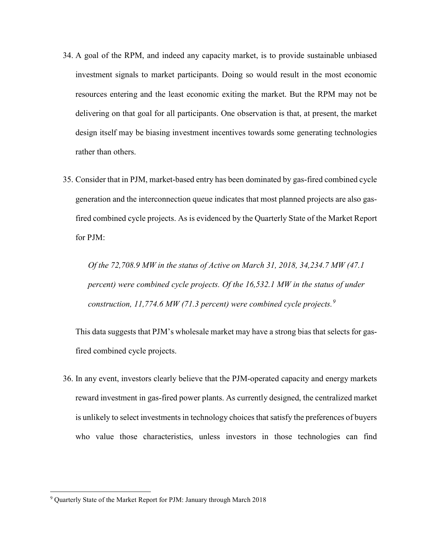- 34. A goal of the RPM, and indeed any capacity market, is to provide sustainable unbiased investment signals to market participants. Doing so would result in the most economic resources entering and the least economic exiting the market. But the RPM may not be delivering on that goal for all participants. One observation is that, at present, the market design itself may be biasing investment incentives towards some generating technologies rather than others.
- 35. Consider that in PJM, market-based entry has been dominated by gas-fired combined cycle generation and the interconnection queue indicates that most planned projects are also gasfired combined cycle projects. As is evidenced by the Quarterly State of the Market Report for PJM:

Of the 72,708.9 MW in the status of Active on March 31, 2018, 34,234.7 MW (47.1 percent) were combined cycle projects. Of the 16,532.1 MW in the status of under construction, 11,774.6 MW (71.3 percent) were combined cycle projects.<sup>9</sup>

This data suggests that PJM's wholesale market may have a strong bias that selects for gasfired combined cycle projects.

36. In any event, investors clearly believe that the PJM-operated capacity and energy markets reward investment in gas-fired power plants. As currently designed, the centralized market is unlikely to select investments in technology choices that satisfy the preferences of buyers who value those characteristics, unless investors in those technologies can find

<sup>9</sup> Quarterly State of the Market Report for PJM: January through March 2018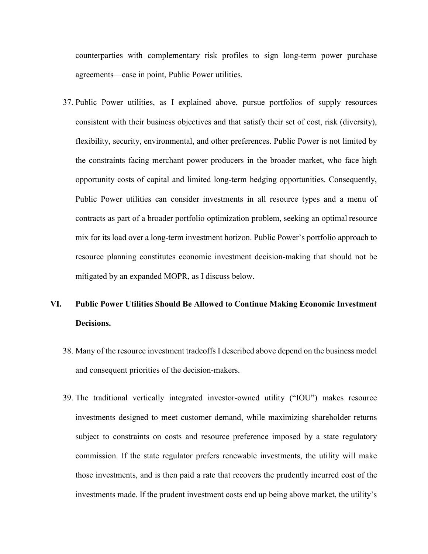counterparties with complementary risk profiles to sign long-term power purchase agreements—case in point, Public Power utilities.

37. Public Power utilities, as I explained above, pursue portfolios of supply resources consistent with their business objectives and that satisfy their set of cost, risk (diversity), flexibility, security, environmental, and other preferences. Public Power is not limited by the constraints facing merchant power producers in the broader market, who face high opportunity costs of capital and limited long-term hedging opportunities. Consequently, Public Power utilities can consider investments in all resource types and a menu of contracts as part of a broader portfolio optimization problem, seeking an optimal resource mix for its load over a long-term investment horizon. Public Power's portfolio approach to resource planning constitutes economic investment decision-making that should not be mitigated by an expanded MOPR, as I discuss below.

# VI. Public Power Utilities Should Be Allowed to Continue Making Economic Investment Decisions.

- 38. Many of the resource investment tradeoffs I described above depend on the business model and consequent priorities of the decision-makers.
- 39. The traditional vertically integrated investor-owned utility ("IOU") makes resource investments designed to meet customer demand, while maximizing shareholder returns subject to constraints on costs and resource preference imposed by a state regulatory commission. If the state regulator prefers renewable investments, the utility will make those investments, and is then paid a rate that recovers the prudently incurred cost of the investments made. If the prudent investment costs end up being above market, the utility's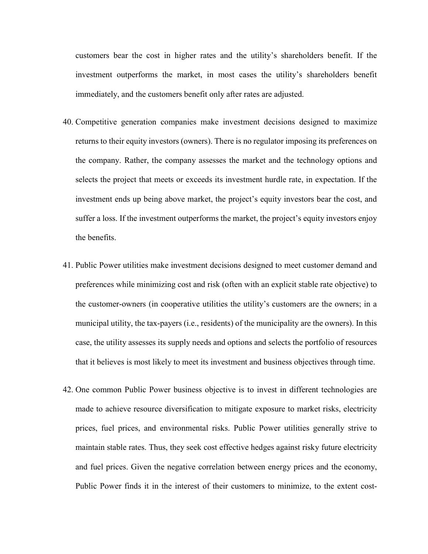customers bear the cost in higher rates and the utility's shareholders benefit. If the investment outperforms the market, in most cases the utility's shareholders benefit immediately, and the customers benefit only after rates are adjusted.

- 40. Competitive generation companies make investment decisions designed to maximize returns to their equity investors (owners). There is no regulator imposing its preferences on the company. Rather, the company assesses the market and the technology options and selects the project that meets or exceeds its investment hurdle rate, in expectation. If the investment ends up being above market, the project's equity investors bear the cost, and suffer a loss. If the investment outperforms the market, the project's equity investors enjoy the benefits.
- 41. Public Power utilities make investment decisions designed to meet customer demand and preferences while minimizing cost and risk (often with an explicit stable rate objective) to the customer-owners (in cooperative utilities the utility's customers are the owners; in a municipal utility, the tax-payers (i.e., residents) of the municipality are the owners). In this case, the utility assesses its supply needs and options and selects the portfolio of resources that it believes is most likely to meet its investment and business objectives through time.
- 42. One common Public Power business objective is to invest in different technologies are made to achieve resource diversification to mitigate exposure to market risks, electricity prices, fuel prices, and environmental risks. Public Power utilities generally strive to maintain stable rates. Thus, they seek cost effective hedges against risky future electricity and fuel prices. Given the negative correlation between energy prices and the economy, Public Power finds it in the interest of their customers to minimize, to the extent cost-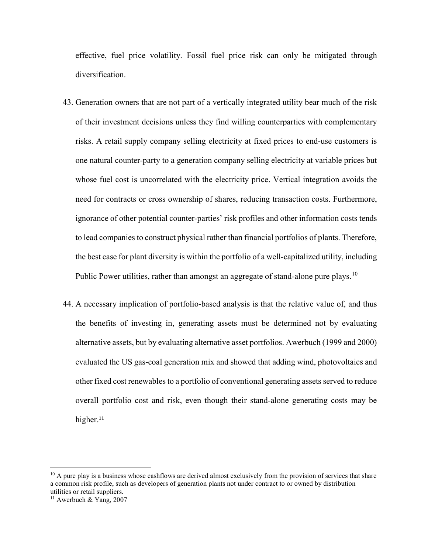effective, fuel price volatility. Fossil fuel price risk can only be mitigated through diversification.

- 43. Generation owners that are not part of a vertically integrated utility bear much of the risk of their investment decisions unless they find willing counterparties with complementary risks. A retail supply company selling electricity at fixed prices to end-use customers is one natural counter-party to a generation company selling electricity at variable prices but whose fuel cost is uncorrelated with the electricity price. Vertical integration avoids the need for contracts or cross ownership of shares, reducing transaction costs. Furthermore, ignorance of other potential counter-parties' risk profiles and other information costs tends to lead companies to construct physical rather than financial portfolios of plants. Therefore, the best case for plant diversity is within the portfolio of a well-capitalized utility, including Public Power utilities, rather than amongst an aggregate of stand-alone pure plays.<sup>10</sup>
- 44. A necessary implication of portfolio-based analysis is that the relative value of, and thus the benefits of investing in, generating assets must be determined not by evaluating alternative assets, but by evaluating alternative asset portfolios. Awerbuch (1999 and 2000) evaluated the US gas-coal generation mix and showed that adding wind, photovoltaics and other fixed cost renewables to a portfolio of conventional generating assets served to reduce overall portfolio cost and risk, even though their stand-alone generating costs may be higher.<sup>11</sup>

 $10$  A pure play is a business whose cashflows are derived almost exclusively from the provision of services that share a common risk profile, such as developers of generation plants not under contract to or owned by distribution utilities or retail suppliers.

<sup>&</sup>lt;sup>11</sup> Awerbuch & Yang, 2007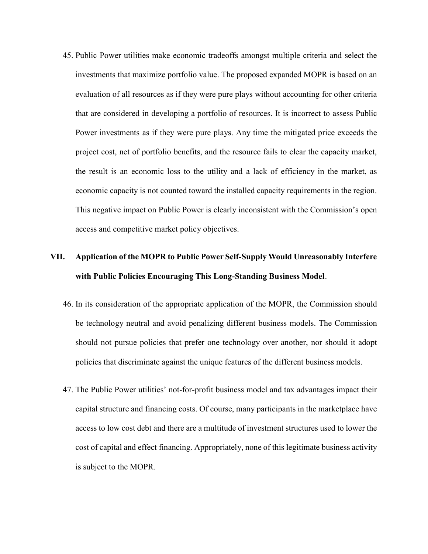45. Public Power utilities make economic tradeoffs amongst multiple criteria and select the investments that maximize portfolio value. The proposed expanded MOPR is based on an evaluation of all resources as if they were pure plays without accounting for other criteria that are considered in developing a portfolio of resources. It is incorrect to assess Public Power investments as if they were pure plays. Any time the mitigated price exceeds the project cost, net of portfolio benefits, and the resource fails to clear the capacity market, the result is an economic loss to the utility and a lack of efficiency in the market, as economic capacity is not counted toward the installed capacity requirements in the region. This negative impact on Public Power is clearly inconsistent with the Commission's open access and competitive market policy objectives.

# VII. Application of the MOPR to Public Power Self-Supply Would Unreasonably Interfere with Public Policies Encouraging This Long-Standing Business Model.

- 46. In its consideration of the appropriate application of the MOPR, the Commission should be technology neutral and avoid penalizing different business models. The Commission should not pursue policies that prefer one technology over another, nor should it adopt policies that discriminate against the unique features of the different business models.
- 47. The Public Power utilities' not-for-profit business model and tax advantages impact their capital structure and financing costs. Of course, many participants in the marketplace have access to low cost debt and there are a multitude of investment structures used to lower the cost of capital and effect financing. Appropriately, none of this legitimate business activity is subject to the MOPR.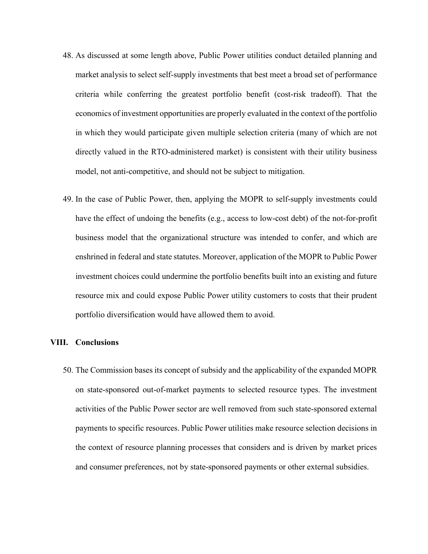- 48. As discussed at some length above, Public Power utilities conduct detailed planning and market analysis to select self-supply investments that best meet a broad set of performance criteria while conferring the greatest portfolio benefit (cost-risk tradeoff). That the economics of investment opportunities are properly evaluated in the context of the portfolio in which they would participate given multiple selection criteria (many of which are not directly valued in the RTO-administered market) is consistent with their utility business model, not anti-competitive, and should not be subject to mitigation.
- 49. In the case of Public Power, then, applying the MOPR to self-supply investments could have the effect of undoing the benefits (e.g., access to low-cost debt) of the not-for-profit business model that the organizational structure was intended to confer, and which are enshrined in federal and state statutes. Moreover, application of the MOPR to Public Power investment choices could undermine the portfolio benefits built into an existing and future resource mix and could expose Public Power utility customers to costs that their prudent portfolio diversification would have allowed them to avoid.

#### VIII. Conclusions

50. The Commission bases its concept of subsidy and the applicability of the expanded MOPR on state-sponsored out-of-market payments to selected resource types. The investment activities of the Public Power sector are well removed from such state-sponsored external payments to specific resources. Public Power utilities make resource selection decisions in the context of resource planning processes that considers and is driven by market prices and consumer preferences, not by state-sponsored payments or other external subsidies.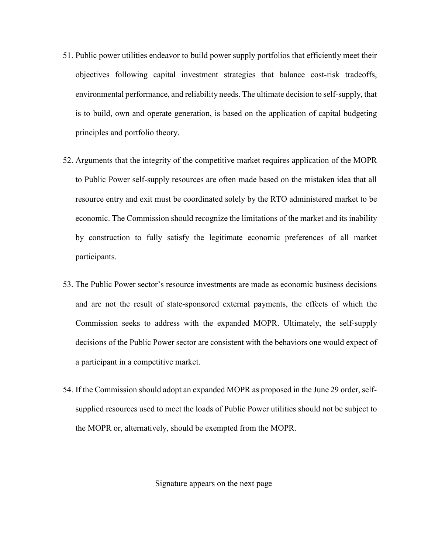- 51. Public power utilities endeavor to build power supply portfolios that efficiently meet their objectives following capital investment strategies that balance cost-risk tradeoffs, environmental performance, and reliability needs. The ultimate decision to self-supply, that is to build, own and operate generation, is based on the application of capital budgeting principles and portfolio theory.
- 52. Arguments that the integrity of the competitive market requires application of the MOPR to Public Power self-supply resources are often made based on the mistaken idea that all resource entry and exit must be coordinated solely by the RTO administered market to be economic. The Commission should recognize the limitations of the market and its inability by construction to fully satisfy the legitimate economic preferences of all market participants.
- 53. The Public Power sector's resource investments are made as economic business decisions and are not the result of state-sponsored external payments, the effects of which the Commission seeks to address with the expanded MOPR. Ultimately, the self-supply decisions of the Public Power sector are consistent with the behaviors one would expect of a participant in a competitive market.
- 54. If the Commission should adopt an expanded MOPR as proposed in the June 29 order, selfsupplied resources used to meet the loads of Public Power utilities should not be subject to the MOPR or, alternatively, should be exempted from the MOPR.

Signature appears on the next page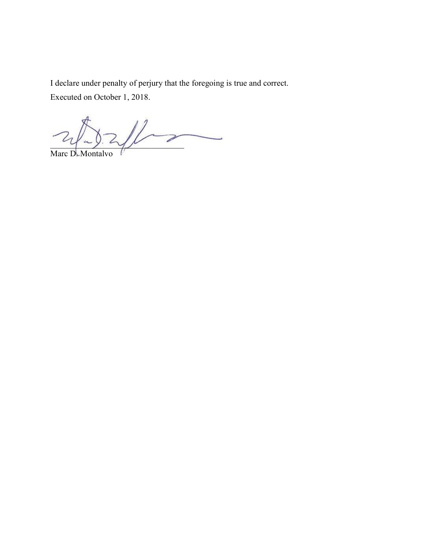I declare under penalty of perjury that the foregoing is true and correct.

Executed on October 1, 2018.

 $2\sqrt{2}\sqrt{2\sqrt{2}}$  $\overline{a}$ 

Marc D. Montalvo